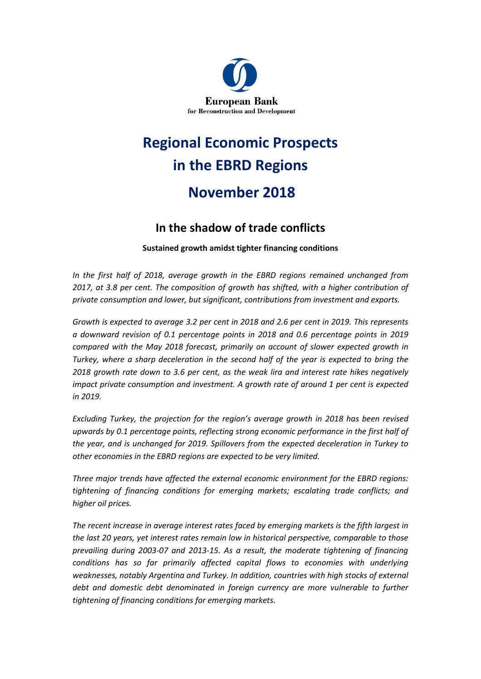

# **Regional Economic Prospects in the EBRD Regions November 2018**

### **In the shadow of trade conflicts**

**Sustained growth amidst tighter financing conditions** 

*In the first half of 2018, average growth in the EBRD regions remained unchanged from 2017, at 3.8 per cent. The composition of growth has shifted, with a higher contribution of private consumption and lower, but significant, contributions from investment and exports.* 

*Growth is expected to average 3.2 per cent in 2018 and 2.6 per cent in 2019. This represents a downward revision of 0.1 percentage points in 2018 and 0.6 percentage points in 2019 compared with the May 2018 forecast, primarily on account of slower expected growth in Turkey, where a sharp deceleration in the second half of the year is expected to bring the 2018 growth rate down to 3.6 per cent, as the weak lira and interest rate hikes negatively impact private consumption and investment. A growth rate of around 1 per cent is expected in 2019.* 

*Excluding Turkey, the projection for the region's average growth in 2018 has been revised upwards by 0.1 percentage points, reflecting strong economic performance in the first half of the year, and is unchanged for 2019. Spillovers from the expected deceleration in Turkey to other economies in the EBRD regions are expected to be very limited.*

*Three major trends have affected the external economic environment for the EBRD regions: tightening of financing conditions for emerging markets; escalating trade conflicts; and higher oil prices.* 

*The recent increase in average interest rates faced by emerging markets is the fifth largest in the last 20 years, yet interest rates remain low in historical perspective, comparable to those prevailing during 2003-07 and 2013-15. As a result, the moderate tightening of financing conditions has so far primarily affected capital flows to economies with underlying weaknesses, notably Argentina and Turkey. In addition, countries with high stocks of external debt and domestic debt denominated in foreign currency are more vulnerable to further tightening of financing conditions for emerging markets.*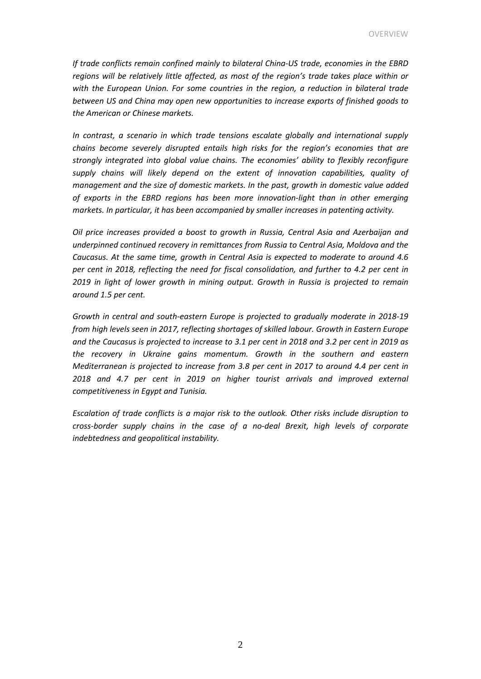*If trade conflicts remain confined mainly to bilateral China-US trade, economies in the EBRD regions will be relatively little affected, as most of the region's trade takes place within or with the European Union. For some countries in the region, a reduction in bilateral trade between US and China may open new opportunities to increase exports of finished goods to the American or Chinese markets.* 

*In contrast, a scenario in which trade tensions escalate globally and international supply chains become severely disrupted entails high risks for the region's economies that are strongly integrated into global value chains. The economies' ability to flexibly reconfigure supply chains will likely depend on the extent of innovation capabilities, quality of management and the size of domestic markets. In the past, growth in domestic value added of exports in the EBRD regions has been more innovation-light than in other emerging markets. In particular, it has been accompanied by smaller increases in patenting activity.* 

*Oil price increases provided a boost to growth in Russia, Central Asia and Azerbaijan and underpinned continued recovery in remittances from Russia to Central Asia, Moldova and the Caucasus. At the same time, growth in Central Asia is expected to moderate to around 4.6 per cent in 2018, reflecting the need for fiscal consolidation, and further to 4.2 per cent in 2019 in light of lower growth in mining output. Growth in Russia is projected to remain around 1.5 per cent.* 

*Growth in central and south-eastern Europe is projected to gradually moderate in 2018-19 from high levels seen in 2017, reflecting shortages of skilled labour. Growth in Eastern Europe and the Caucasus is projected to increase to 3.1 per cent in 2018 and 3.2 per cent in 2019 as the recovery in Ukraine gains momentum. Growth in the southern and eastern Mediterranean is projected to increase from 3.8 per cent in 2017 to around 4.4 per cent in 2018 and 4.7 per cent in 2019 on higher tourist arrivals and improved external competitiveness in Egypt and Tunisia.*

*Escalation of trade conflicts is a major risk to the outlook. Other risks include disruption to cross-border supply chains in the case of a no-deal Brexit, high levels of corporate indebtedness and geopolitical instability.*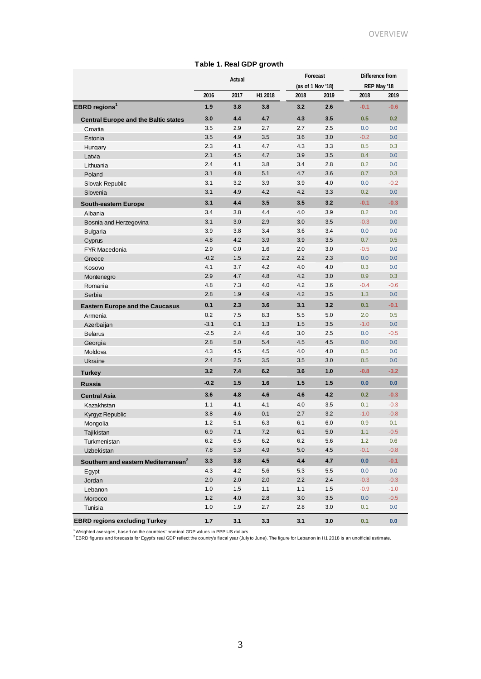| Table 1. Real GDP growth                        |         |      |         |                               |      |                                |        |
|-------------------------------------------------|---------|------|---------|-------------------------------|------|--------------------------------|--------|
|                                                 | Actual  |      |         | Forecast<br>(as of 1 Nov '18) |      | Difference from<br>REP May '18 |        |
|                                                 |         |      |         |                               |      |                                |        |
|                                                 | 2016    | 2017 | H1 2018 | 2018                          | 2019 | 2018                           | 2019   |
| <b>EBRD</b> regions <sup>1</sup>                | 1.9     | 3.8  | 3.8     | 3.2                           | 2.6  | $-0.1$                         | $-0.6$ |
| <b>Central Europe and the Baltic states</b>     | 3.0     | 4.4  | 4.7     | 4.3                           | 3.5  | 0.5                            | 0.2    |
| Croatia                                         | 3.5     | 2.9  | 2.7     | 2.7                           | 2.5  | 0.0                            | 0.0    |
| Estonia                                         | 3.5     | 4.9  | 3.5     | 3.6                           | 3.0  | $-0.2$                         | 0.0    |
| Hungary                                         | 2.3     | 4.1  | 4.7     | 4.3                           | 3.3  | 0.5                            | 0.3    |
| Latvia                                          | 2.1     | 4.5  | 4.7     | 3.9                           | 3.5  | 0.4                            | 0.0    |
| Lithuania                                       | 2.4     | 4.1  | 3.8     | 3.4                           | 2.8  | 0.2                            | 0.0    |
| Poland                                          | 3.1     | 4.8  | 5.1     | 4.7                           | 3.6  | 0.7                            | 0.3    |
| Slovak Republic                                 | 3.1     | 3.2  | 3.9     | 3.9                           | 4.0  | 0.0                            | $-0.2$ |
| Slovenia                                        | 3.1     | 4.9  | 4.2     | 4.2                           | 3.3  | 0.2                            | 0.0    |
| <b>South-eastern Europe</b>                     | 3.1     | 4.4  | 3.5     | 3.5                           | 3.2  | $-0.1$                         | $-0.3$ |
| Albania                                         | 3.4     | 3.8  | 4.4     | 4.0                           | 3.9  | 0.2                            | 0.0    |
| Bosnia and Herzegovina                          | 3.1     | 3.0  | 2.9     | 3.0                           | 3.5  | $-0.3$                         | 0.0    |
| <b>Bulgaria</b>                                 | 3.9     | 3.8  | 3.4     | 3.6                           | 3.4  | 0.0                            | 0.0    |
| Cyprus                                          | 4.8     | 4.2  | 3.9     | 3.9                           | 3.5  | 0.7                            | 0.5    |
| <b>FYR Macedonia</b>                            | 2.9     | 0.0  | 1.6     | 2.0                           | 3.0  | $-0.5$                         | 0.0    |
| Greece                                          | $-0.2$  | 1.5  | 2.2     | 2.2                           | 2.3  | 0.0                            | 0.0    |
| Kosovo                                          | 4.1     | 3.7  | 4.2     | 4.0                           | 4.0  | 0.3                            | 0.0    |
| Montenegro                                      | 2.9     | 4.7  | 4.8     | 4.2                           | 3.0  | 0.9                            | 0.3    |
| Romania                                         | 4.8     | 7.3  | 4.0     | 4.2                           | 3.6  | $-0.4$                         | $-0.6$ |
| Serbia                                          | 2.8     | 1.9  | 4.9     | 4.2                           | 3.5  | 1.3                            | 0.0    |
| <b>Eastern Europe and the Caucasus</b>          | 0.1     | 2.3  | 3.6     | 3.1                           | 3.2  | 0.1                            | $-0.1$ |
| Armenia                                         | 0.2     | 7.5  | 8.3     | 5.5                           | 5.0  | 2.0                            | 0.5    |
| Azerbaijan                                      | $-3.1$  | 0.1  | 1.3     | 1.5                           | 3.5  | $-1.0$                         | 0.0    |
| <b>Belarus</b>                                  | $-2.5$  | 2.4  | 4.6     | 3.0                           | 2.5  | 0.0                            | $-0.5$ |
| Georgia                                         | 2.8     | 5.0  | 5.4     | 4.5                           | 4.5  | 0.0                            | 0.0    |
| Moldova                                         | 4.3     | 4.5  | 4.5     | 4.0                           | 4.0  | 0.5                            | 0.0    |
| Ukraine                                         | 2.4     | 2.5  | 3.5     | 3.5                           | 3.0  | 0.5                            | 0.0    |
| <b>Turkey</b>                                   | 3.2     | 7.4  | 6.2     | 3.6                           | 1.0  | $-0.8$                         | $-3.2$ |
| <b>Russia</b>                                   | $-0.2$  | 1.5  | 1.6     | 1.5                           | 1.5  | 0.0                            | 0.0    |
| <b>Central Asia</b>                             | 3.6     | 4.8  | 4.6     | 4.6                           | 4.2  | 0.2                            | $-0.3$ |
| Kazakhstan                                      | 1.1     | 4.1  | 4.1     | 4.0                           | 3.5  | 0.1                            | $-0.3$ |
| Kyrgyz Republic                                 | 3.8     | 4.6  | 0.1     | 2.7                           | 3.2  | $-1.0$                         | $-0.8$ |
| Mongolia                                        | 1.2     | 5.1  | 6.3     | 6.1                           | 6.0  | 0.9                            | 0.1    |
| Tajikistan                                      | 6.9     | 7.1  | 7.2     | 6.1                           | 5.0  | 1.1                            | $-0.5$ |
| Turkmenistan                                    | 6.2     | 6.5  | 6.2     | 6.2                           | 5.6  | 1.2                            | 0.6    |
| Uzbekistan                                      | 7.8     | 5.3  | 4.9     | 5.0                           | 4.5  | $-0.1$                         | $-0.8$ |
| Southern and eastern Mediterranean <sup>2</sup> | 3.3     | 3.8  | 4.5     | 4.4                           | 4.7  | 0.0                            | $-0.1$ |
| Egypt                                           | 4.3     | 4.2  | 5.6     | 5.3                           | 5.5  | 0.0                            | 0.0    |
| Jordan                                          | 2.0     | 2.0  | 2.0     | 2.2                           | 2.4  | $-0.3$                         | $-0.3$ |
| Lebanon                                         | 1.0     | 1.5  | 1.1     | 1.1                           | 1.5  | $-0.9$                         | $-1.0$ |
| Morocco                                         | $1.2$   | 4.0  | 2.8     | 3.0                           | 3.5  | 0.0                            | $-0.5$ |
| Tunisia                                         | $1.0\,$ | 1.9  | 2.7     | 2.8                           | 3.0  | 0.1                            | 0.0    |
| <b>EBRD regions excluding Turkey</b>            | 1.7     | 3.1  | 3.3     | 3.1                           | 3.0  | 0.1                            | 0.0    |

<sup>1</sup>Weighted averages, based on the countries' nominal GDP values in PPP US dollars.<br><sup>2</sup>EBRD figures and forecasts for Egypt's real GDP reflect the country's fiscal year (July to June). The figure for Lebanon in H1 2018 is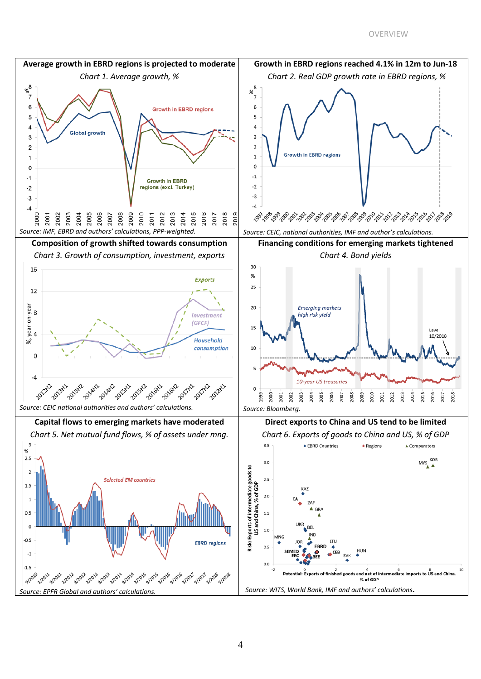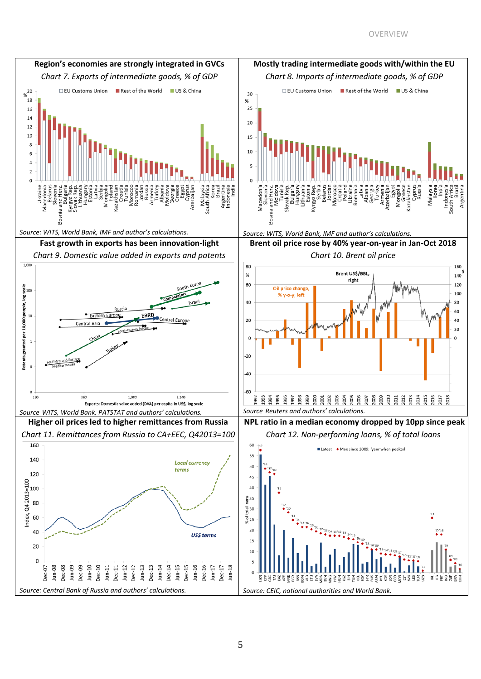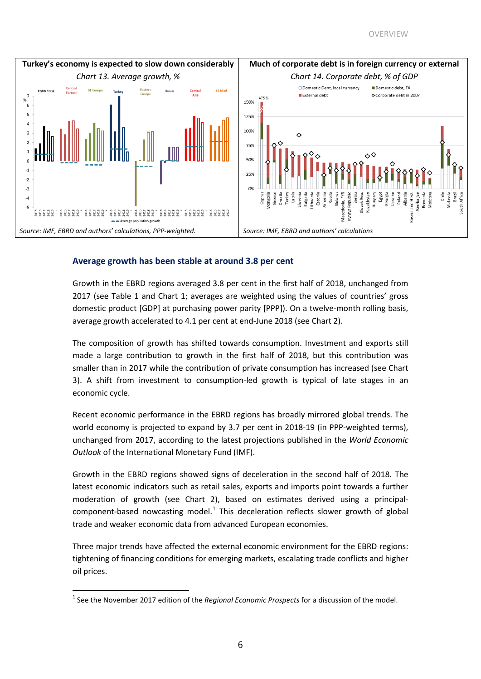

#### **Average growth has been stable at around 3.8 per cent**

Growth in the EBRD regions averaged 3.8 per cent in the first half of 2018, unchanged from 2017 (see Table 1 and Chart 1; averages are weighted using the values of countries' gross domestic product [GDP] at purchasing power parity [PPP]). On a twelve-month rolling basis, average growth accelerated to 4.1 per cent at end-June 2018 (see Chart 2).

The composition of growth has shifted towards consumption. Investment and exports still made a large contribution to growth in the first half of 2018, but this contribution was smaller than in 2017 while the contribution of private consumption has increased (see Chart 3). A shift from investment to consumption-led growth is typical of late stages in an economic cycle.

Recent economic performance in the EBRD regions has broadly mirrored global trends. The world economy is projected to expand by 3.7 per cent in 2018-19 (in PPP-weighted terms), unchanged from 2017, according to the latest projections published in the *World Economic Outlook* of the International Monetary Fund (IMF).

Growth in the EBRD regions showed signs of deceleration in the second half of 2018. The latest economic indicators such as retail sales, exports and imports point towards a further moderation of growth (see Chart 2), based on estimates derived using a principalcomponent-based nowcasting model. $<sup>1</sup>$  $<sup>1</sup>$  $<sup>1</sup>$  This deceleration reflects slower growth of global</sup> trade and weaker economic data from advanced European economies.

Three major trends have affected the external economic environment for the EBRD regions: tightening of financing conditions for emerging markets, escalating trade conflicts and higher oil prices.

<span id="page-5-0"></span><sup>&</sup>lt;sup>1</sup> See the November 2017 edition of the *Regional Economic Prospects* for a discussion of the model.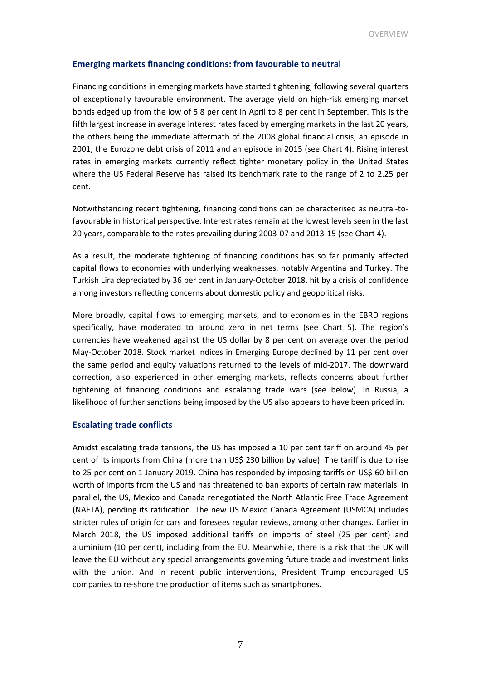#### **Emerging markets financing conditions: from favourable to neutral**

Financing conditions in emerging markets have started tightening, following several quarters of exceptionally favourable environment. The average yield on high-risk emerging market bonds edged up from the low of 5.8 per cent in April to 8 per cent in September. This is the fifth largest increase in average interest rates faced by emerging markets in the last 20 years, the others being the immediate aftermath of the 2008 global financial crisis, an episode in 2001, the Eurozone debt crisis of 2011 and an episode in 2015 (see Chart 4). Rising interest rates in emerging markets currently reflect tighter monetary policy in the United States where the US Federal Reserve has raised its benchmark rate to the range of 2 to 2.25 per cent.

Notwithstanding recent tightening, financing conditions can be characterised as neutral-tofavourable in historical perspective. Interest rates remain at the lowest levels seen in the last 20 years, comparable to the rates prevailing during 2003-07 and 2013-15 (see Chart 4).

As a result, the moderate tightening of financing conditions has so far primarily affected capital flows to economies with underlying weaknesses, notably Argentina and Turkey. The Turkish Lira depreciated by 36 per cent in January-October 2018, hit by a crisis of confidence among investors reflecting concerns about domestic policy and geopolitical risks.

More broadly, capital flows to emerging markets, and to economies in the EBRD regions specifically, have moderated to around zero in net terms (see Chart 5). The region's currencies have weakened against the US dollar by 8 per cent on average over the period May-October 2018. Stock market indices in Emerging Europe declined by 11 per cent over the same period and equity valuations returned to the levels of mid-2017. The downward correction, also experienced in other emerging markets, reflects concerns about further tightening of financing conditions and escalating trade wars (see below). In Russia, a likelihood of further sanctions being imposed by the US also appears to have been priced in.

#### **Escalating trade conflicts**

Amidst escalating trade tensions, the US has imposed a 10 per cent tariff on around 45 per cent of its imports from China (more than US\$ 230 billion by value). The tariff is due to rise to 25 per cent on 1 January 2019. China has responded by imposing tariffs on US\$ 60 billion worth of imports from the US and has threatened to ban exports of certain raw materials. In parallel, the US, Mexico and Canada renegotiated the North Atlantic Free Trade Agreement (NAFTA), pending its ratification. The new US Mexico Canada Agreement (USMCA) includes stricter rules of origin for cars and foresees regular reviews, among other changes. Earlier in March 2018, the US imposed additional tariffs on imports of steel (25 per cent) and aluminium (10 per cent), including from the EU. Meanwhile, there is a risk that the UK will leave the EU without any special arrangements governing future trade and investment links with the union. And in recent public interventions, President Trump encouraged US companies to re-shore the production of items such as smartphones.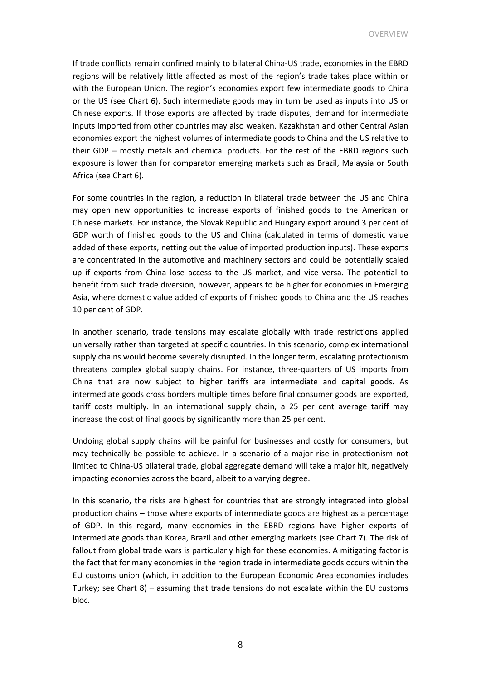OVERVIEW

If trade conflicts remain confined mainly to bilateral China-US trade, economies in the EBRD regions will be relatively little affected as most of the region's trade takes place within or with the European Union. The region's economies export few intermediate goods to China or the US (see Chart 6). Such intermediate goods may in turn be used as inputs into US or Chinese exports. If those exports are affected by trade disputes, demand for intermediate inputs imported from other countries may also weaken. Kazakhstan and other Central Asian economies export the highest volumes of intermediate goods to China and the US relative to their GDP – mostly metals and chemical products. For the rest of the EBRD regions such exposure is lower than for comparator emerging markets such as Brazil, Malaysia or South Africa (see Chart 6).

For some countries in the region, a reduction in bilateral trade between the US and China may open new opportunities to increase exports of finished goods to the American or Chinese markets. For instance, the Slovak Republic and Hungary export around 3 per cent of GDP worth of finished goods to the US and China (calculated in terms of domestic value added of these exports, netting out the value of imported production inputs). These exports are concentrated in the automotive and machinery sectors and could be potentially scaled up if exports from China lose access to the US market, and vice versa. The potential to benefit from such trade diversion, however, appears to be higher for economies in Emerging Asia, where domestic value added of exports of finished goods to China and the US reaches 10 per cent of GDP.

In another scenario, trade tensions may escalate globally with trade restrictions applied universally rather than targeted at specific countries. In this scenario, complex international supply chains would become severely disrupted. In the longer term, escalating protectionism threatens complex global supply chains. For instance, three-quarters of US imports from China that are now subject to higher tariffs are intermediate and capital goods. As intermediate goods cross borders multiple times before final consumer goods are exported, tariff costs multiply. In an international supply chain, a 25 per cent average tariff may increase the cost of final goods by significantly more than 25 per cent.

Undoing global supply chains will be painful for businesses and costly for consumers, but may technically be possible to achieve. In a scenario of a major rise in protectionism not limited to China-US bilateral trade, global aggregate demand will take a major hit, negatively impacting economies across the board, albeit to a varying degree.

In this scenario, the risks are highest for countries that are strongly integrated into global production chains – those where exports of intermediate goods are highest as a percentage of GDP. In this regard, many economies in the EBRD regions have higher exports of intermediate goods than Korea, Brazil and other emerging markets (see Chart 7). The risk of fallout from global trade wars is particularly high for these economies. A mitigating factor is the fact that for many economies in the region trade in intermediate goods occurs within the EU customs union (which, in addition to the European Economic Area economies includes Turkey; see Chart 8) – assuming that trade tensions do not escalate within the EU customs bloc.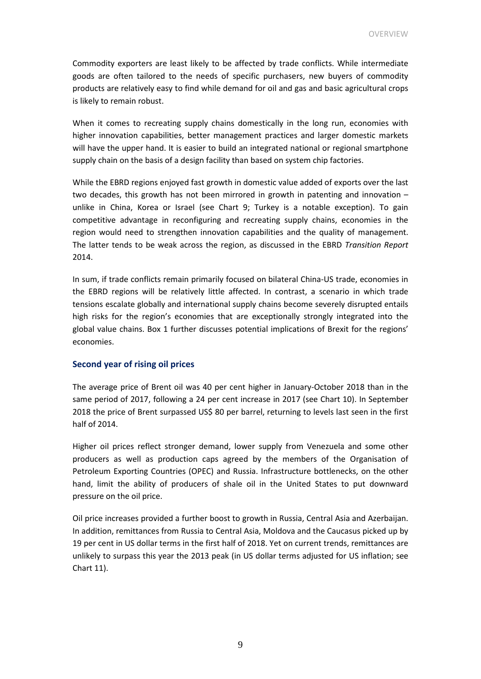Commodity exporters are least likely to be affected by trade conflicts. While intermediate goods are often tailored to the needs of specific purchasers, new buyers of commodity products are relatively easy to find while demand for oil and gas and basic agricultural crops is likely to remain robust.

When it comes to recreating supply chains domestically in the long run, economies with higher innovation capabilities, better management practices and larger domestic markets will have the upper hand. It is easier to build an integrated national or regional smartphone supply chain on the basis of a design facility than based on system chip factories.

While the EBRD regions enjoyed fast growth in domestic value added of exports over the last two decades, this growth has not been mirrored in growth in patenting and innovation – unlike in China, Korea or Israel (see Chart 9; Turkey is a notable exception). To gain competitive advantage in reconfiguring and recreating supply chains, economies in the region would need to strengthen innovation capabilities and the quality of management. The latter tends to be weak across the region, as discussed in the EBRD *Transition Report* 2014.

In sum, if trade conflicts remain primarily focused on bilateral China-US trade, economies in the EBRD regions will be relatively little affected. In contrast, a scenario in which trade tensions escalate globally and international supply chains become severely disrupted entails high risks for the region's economies that are exceptionally strongly integrated into the global value chains. Box 1 further discusses potential implications of Brexit for the regions' economies.

#### **Second year of rising oil prices**

The average price of Brent oil was 40 per cent higher in January-October 2018 than in the same period of 2017, following a 24 per cent increase in 2017 (see Chart 10). In September 2018 the price of Brent surpassed US\$ 80 per barrel, returning to levels last seen in the first half of 2014.

Higher oil prices reflect stronger demand, lower supply from Venezuela and some other producers as well as production caps agreed by the members of the Organisation of Petroleum Exporting Countries (OPEC) and Russia. Infrastructure bottlenecks, on the other hand, limit the ability of producers of shale oil in the United States to put downward pressure on the oil price.

Oil price increases provided a further boost to growth in Russia, Central Asia and Azerbaijan. In addition, remittances from Russia to Central Asia, Moldova and the Caucasus picked up by 19 per cent in US dollar terms in the first half of 2018. Yet on current trends, remittances are unlikely to surpass this year the 2013 peak (in US dollar terms adjusted for US inflation; see Chart 11).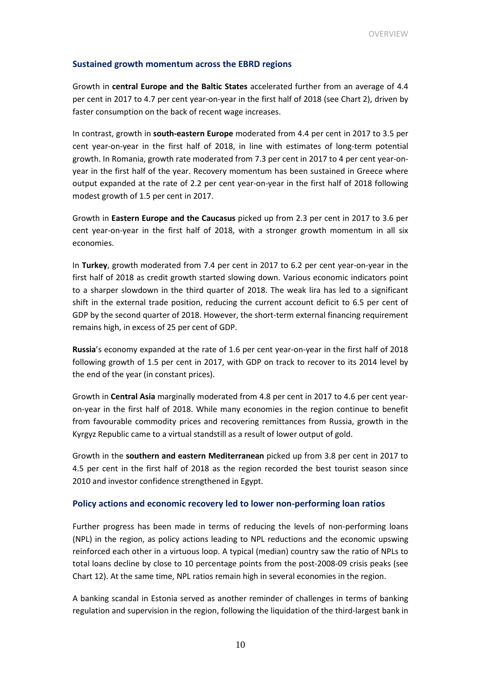#### **Sustained growth momentum across the EBRD regions**

Growth in **central Europe and the Baltic States** accelerated further from an average of 4.4 per cent in 2017 to 4.7 per cent year-on-year in the first half of 2018 (see Chart 2), driven by faster consumption on the back of recent wage increases.

In contrast, growth in **south-eastern Europe** moderated from 4.4 per cent in 2017 to 3.5 per cent year-on-year in the first half of 2018, in line with estimates of long-term potential growth. In Romania, growth rate moderated from 7.3 per cent in 2017 to 4 per cent year-onyear in the first half of the year. Recovery momentum has been sustained in Greece where output expanded at the rate of 2.2 per cent year-on-year in the first half of 2018 following modest growth of 1.5 per cent in 2017.

Growth in **Eastern Europe and the Caucasus** picked up from 2.3 per cent in 2017 to 3.6 per cent year-on-year in the first half of 2018, with a stronger growth momentum in all six economies.

In **Turkey**, growth moderated from 7.4 per cent in 2017 to 6.2 per cent year-on-year in the first half of 2018 as credit growth started slowing down. Various economic indicators point to a sharper slowdown in the third quarter of 2018. The weak lira has led to a significant shift in the external trade position, reducing the current account deficit to 6.5 per cent of GDP by the second quarter of 2018. However, the short-term external financing requirement remains high, in excess of 25 per cent of GDP.

**Russia**'s economy expanded at the rate of 1.6 per cent year-on-year in the first half of 2018 following growth of 1.5 per cent in 2017, with GDP on track to recover to its 2014 level by the end of the year (in constant prices).

Growth in **Central Asia** marginally moderated from 4.8 per cent in 2017 to 4.6 per cent yearon-year in the first half of 2018. While many economies in the region continue to benefit from favourable commodity prices and recovering remittances from Russia, growth in the Kyrgyz Republic came to a virtual standstill as a result of lower output of gold.

Growth in the **southern and eastern Mediterranean** picked up from 3.8 per cent in 2017 to 4.5 per cent in the first half of 2018 as the region recorded the best tourist season since 2010 and investor confidence strengthened in Egypt.

#### **Policy actions and economic recovery led to lower non-performing loan ratios**

Further progress has been made in terms of reducing the levels of non-performing loans (NPL) in the region, as policy actions leading to NPL reductions and the economic upswing reinforced each other in a virtuous loop. A typical (median) country saw the ratio of NPLs to total loans decline by close to 10 percentage points from the post-2008-09 crisis peaks (see Chart 12). At the same time, NPL ratios remain high in several economies in the region.

A banking scandal in Estonia served as another reminder of challenges in terms of banking regulation and supervision in the region, following the liquidation of the third-largest bank in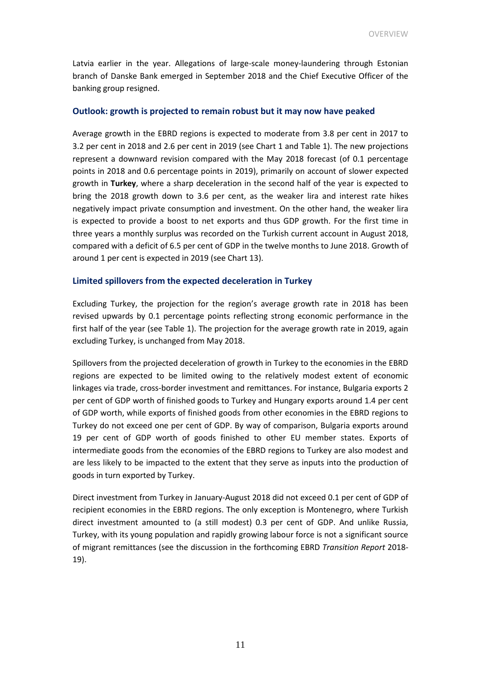Latvia earlier in the year. Allegations of large-scale money-laundering through Estonian branch of Danske Bank emerged in September 2018 and the Chief Executive Officer of the banking group resigned.

#### **Outlook: growth is projected to remain robust but it may now have peaked**

Average growth in the EBRD regions is expected to moderate from 3.8 per cent in 2017 to 3.2 per cent in 2018 and 2.6 per cent in 2019 (see Chart 1 and Table 1). The new projections represent a downward revision compared with the May 2018 forecast (of 0.1 percentage points in 2018 and 0.6 percentage points in 2019), primarily on account of slower expected growth in **Turkey**, where a sharp deceleration in the second half of the year is expected to bring the 2018 growth down to 3.6 per cent, as the weaker lira and interest rate hikes negatively impact private consumption and investment. On the other hand, the weaker lira is expected to provide a boost to net exports and thus GDP growth. For the first time in three years a monthly surplus was recorded on the Turkish current account in August 2018, compared with a deficit of 6.5 per cent of GDP in the twelve months to June 2018. Growth of around 1 per cent is expected in 2019 (see Chart 13).

#### **Limited spillovers from the expected deceleration in Turkey**

Excluding Turkey, the projection for the region's average growth rate in 2018 has been revised upwards by 0.1 percentage points reflecting strong economic performance in the first half of the year (see Table 1). The projection for the average growth rate in 2019, again excluding Turkey, is unchanged from May 2018.

Spillovers from the projected deceleration of growth in Turkey to the economies in the EBRD regions are expected to be limited owing to the relatively modest extent of economic linkages via trade, cross-border investment and remittances. For instance, Bulgaria exports 2 per cent of GDP worth of finished goods to Turkey and Hungary exports around 1.4 per cent of GDP worth, while exports of finished goods from other economies in the EBRD regions to Turkey do not exceed one per cent of GDP. By way of comparison, Bulgaria exports around 19 per cent of GDP worth of goods finished to other EU member states. Exports of intermediate goods from the economies of the EBRD regions to Turkey are also modest and are less likely to be impacted to the extent that they serve as inputs into the production of goods in turn exported by Turkey.

Direct investment from Turkey in January-August 2018 did not exceed 0.1 per cent of GDP of recipient economies in the EBRD regions. The only exception is Montenegro, where Turkish direct investment amounted to (a still modest) 0.3 per cent of GDP. And unlike Russia, Turkey, with its young population and rapidly growing labour force is not a significant source of migrant remittances (see the discussion in the forthcoming EBRD *Transition Report* 2018- 19).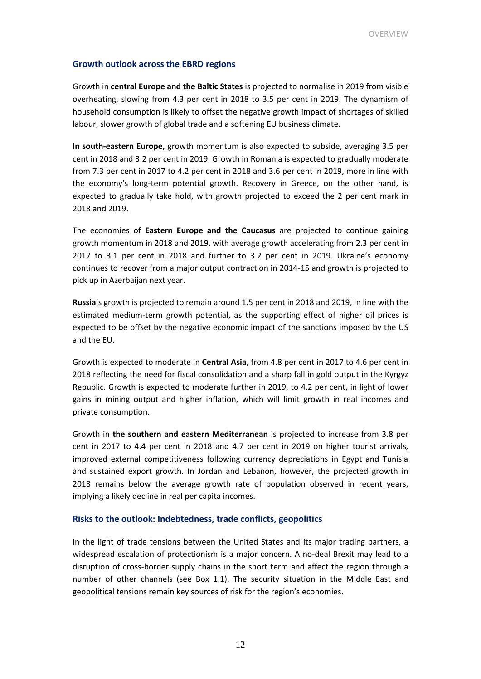#### **Growth outlook across the EBRD regions**

Growth in **central Europe and the Baltic States** is projected to normalise in 2019 from visible overheating, slowing from 4.3 per cent in 2018 to 3.5 per cent in 2019. The dynamism of household consumption is likely to offset the negative growth impact of shortages of skilled labour, slower growth of global trade and a softening EU business climate.

**In south-eastern Europe,** growth momentum is also expected to subside, averaging 3.5 per cent in 2018 and 3.2 per cent in 2019. Growth in Romania is expected to gradually moderate from 7.3 per cent in 2017 to 4.2 per cent in 2018 and 3.6 per cent in 2019, more in line with the economy's long-term potential growth. Recovery in Greece, on the other hand, is expected to gradually take hold, with growth projected to exceed the 2 per cent mark in 2018 and 2019.

The economies of **Eastern Europe and the Caucasus** are projected to continue gaining growth momentum in 2018 and 2019, with average growth accelerating from 2.3 per cent in 2017 to 3.1 per cent in 2018 and further to 3.2 per cent in 2019. Ukraine's economy continues to recover from a major output contraction in 2014-15 and growth is projected to pick up in Azerbaijan next year.

**Russia**'s growth is projected to remain around 1.5 per cent in 2018 and 2019, in line with the estimated medium-term growth potential, as the supporting effect of higher oil prices is expected to be offset by the negative economic impact of the sanctions imposed by the US and the EU.

Growth is expected to moderate in **Central Asia**, from 4.8 per cent in 2017 to 4.6 per cent in 2018 reflecting the need for fiscal consolidation and a sharp fall in gold output in the Kyrgyz Republic. Growth is expected to moderate further in 2019, to 4.2 per cent, in light of lower gains in mining output and higher inflation, which will limit growth in real incomes and private consumption.

Growth in **the southern and eastern Mediterranean** is projected to increase from 3.8 per cent in 2017 to 4.4 per cent in 2018 and 4.7 per cent in 2019 on higher tourist arrivals, improved external competitiveness following currency depreciations in Egypt and Tunisia and sustained export growth. In Jordan and Lebanon, however, the projected growth in 2018 remains below the average growth rate of population observed in recent years, implying a likely decline in real per capita incomes.

#### **Risks to the outlook: Indebtedness, trade conflicts, geopolitics**

In the light of trade tensions between the United States and its major trading partners, a widespread escalation of protectionism is a major concern. A no-deal Brexit may lead to a disruption of cross-border supply chains in the short term and affect the region through a number of other channels (see Box 1.1). The security situation in the Middle East and geopolitical tensions remain key sources of risk for the region's economies.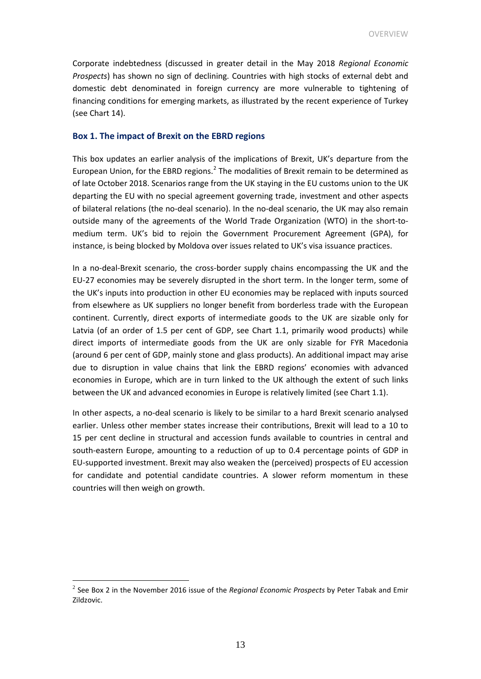Corporate indebtedness (discussed in greater detail in the May 2018 *Regional Economic Prospects*) has shown no sign of declining. Countries with high stocks of external debt and domestic debt denominated in foreign currency are more vulnerable to tightening of financing conditions for emerging markets, as illustrated by the recent experience of Turkey (see Chart 14).

#### **Box 1. The impact of Brexit on the EBRD regions**

This box updates an earlier analysis of the implications of Brexit, UK's departure from the European Union, for the EBRD regions.<sup>[2](#page-12-0)</sup> The modalities of Brexit remain to be determined as of late October 2018. Scenarios range from the UK staying in the EU customs union to the UK departing the EU with no special agreement governing trade, investment and other aspects of bilateral relations (the no-deal scenario). In the no-deal scenario, the UK may also remain outside many of the agreements of the World Trade Organization (WTO) in the short-tomedium term. UK's bid to rejoin the Government Procurement Agreement (GPA), for instance, is being blocked by Moldova over issues related to UK's visa issuance practices.

In a no-deal-Brexit scenario, the cross-border supply chains encompassing the UK and the EU-27 economies may be severely disrupted in the short term. In the longer term, some of the UK's inputs into production in other EU economies may be replaced with inputs sourced from elsewhere as UK suppliers no longer benefit from borderless trade with the European continent. Currently, direct exports of intermediate goods to the UK are sizable only for Latvia (of an order of 1.5 per cent of GDP, see Chart 1.1, primarily wood products) while direct imports of intermediate goods from the UK are only sizable for FYR Macedonia (around 6 per cent of GDP, mainly stone and glass products). An additional impact may arise due to disruption in value chains that link the EBRD regions' economies with advanced economies in Europe, which are in turn linked to the UK although the extent of such links between the UK and advanced economies in Europe is relatively limited (see Chart 1.1).

In other aspects, a no-deal scenario is likely to be similar to a hard Brexit scenario analysed earlier. Unless other member states increase their contributions, Brexit will lead to a 10 to 15 per cent decline in structural and accession funds available to countries in central and south-eastern Europe, amounting to a reduction of up to 0.4 percentage points of GDP in EU-supported investment. Brexit may also weaken the (perceived) prospects of EU accession for candidate and potential candidate countries. A slower reform momentum in these countries will then weigh on growth.

<span id="page-12-0"></span> <sup>2</sup> See Box 2 in the November 2016 issue of the *Regional Economic Prospects* by Peter Tabak and Emir Zildzovic.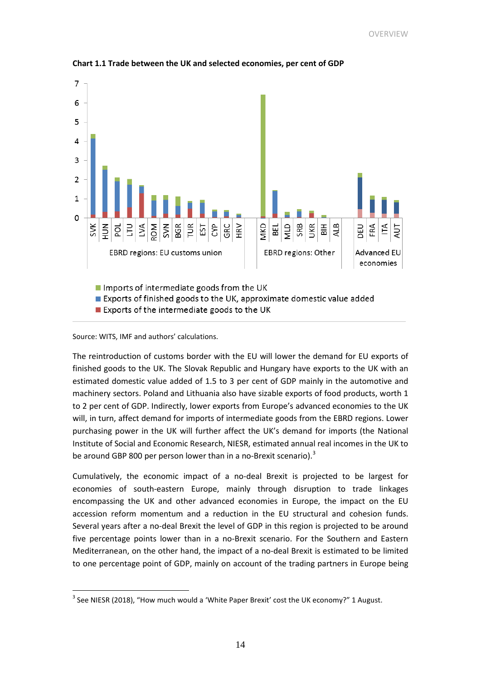

**Chart 1.1 Trade between the UK and selected economies, per cent of GDP**

Source: WITS, IMF and authors' calculations.

The reintroduction of customs border with the EU will lower the demand for EU exports of finished goods to the UK. The Slovak Republic and Hungary have exports to the UK with an estimated domestic value added of 1.5 to 3 per cent of GDP mainly in the automotive and machinery sectors. Poland and Lithuania also have sizable exports of food products, worth 1 to 2 per cent of GDP. Indirectly, lower exports from Europe's advanced economies to the UK will, in turn, affect demand for imports of intermediate goods from the EBRD regions. Lower purchasing power in the UK will further affect the UK's demand for imports (the National Institute of Social and Economic Research, NIESR, estimated annual real incomes in the UK to be around GBP 800 per person lower than in a no-Brexit scenario).<sup>[3](#page-13-0)</sup>

Cumulatively, the economic impact of a no-deal Brexit is projected to be largest for economies of south-eastern Europe, mainly through disruption to trade linkages encompassing the UK and other advanced economies in Europe, the impact on the EU accession reform momentum and a reduction in the EU structural and cohesion funds. Several years after a no-deal Brexit the level of GDP in this region is projected to be around five percentage points lower than in a no-Brexit scenario. For the Southern and Eastern Mediterranean, on the other hand, the impact of a no-deal Brexit is estimated to be limited to one percentage point of GDP, mainly on account of the trading partners in Europe being

<span id="page-13-0"></span> $3$  See NIESR (2018), "How much would a 'White Paper Brexit' cost the UK economy?" 1 August.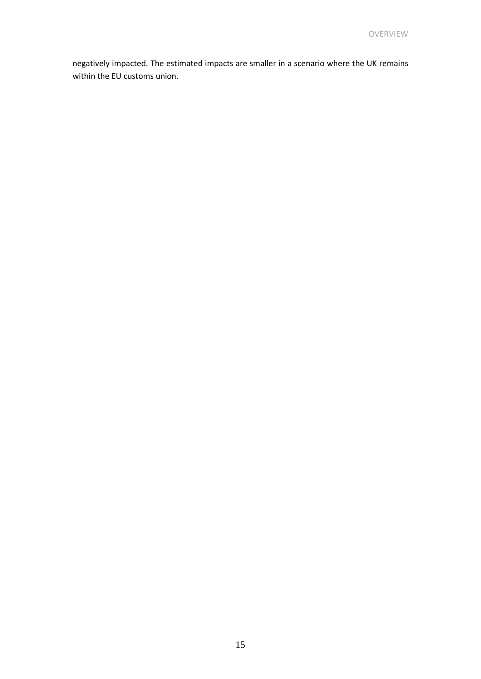negatively impacted. The estimated impacts are smaller in a scenario where the UK remains within the EU customs union.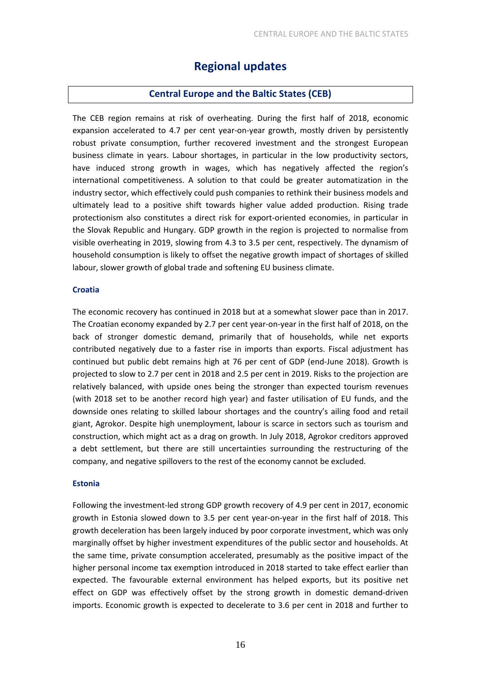### **Regional updates**

#### **Central Europe and the Baltic States (CEB)**

The CEB region remains at risk of overheating. During the first half of 2018, economic expansion accelerated to 4.7 per cent year-on-year growth, mostly driven by persistently robust private consumption, further recovered investment and the strongest European business climate in years. Labour shortages, in particular in the low productivity sectors, have induced strong growth in wages, which has negatively affected the region's international competitiveness. A solution to that could be greater automatization in the industry sector, which effectively could push companies to rethink their business models and ultimately lead to a positive shift towards higher value added production. Rising trade protectionism also constitutes a direct risk for export-oriented economies, in particular in the Slovak Republic and Hungary. GDP growth in the region is projected to normalise from visible overheating in 2019, slowing from 4.3 to 3.5 per cent, respectively. The dynamism of household consumption is likely to offset the negative growth impact of shortages of skilled labour, slower growth of global trade and softening EU business climate.

#### **Croatia**

The economic recovery has continued in 2018 but at a somewhat slower pace than in 2017. The Croatian economy expanded by 2.7 per cent year-on-year in the first half of 2018, on the back of stronger domestic demand, primarily that of households, while net exports contributed negatively due to a faster rise in imports than exports. Fiscal adjustment has continued but public debt remains high at 76 per cent of GDP (end-June 2018). Growth is projected to slow to 2.7 per cent in 2018 and 2.5 per cent in 2019. Risks to the projection are relatively balanced, with upside ones being the stronger than expected tourism revenues (with 2018 set to be another record high year) and faster utilisation of EU funds, and the downside ones relating to skilled labour shortages and the country's ailing food and retail giant, Agrokor. Despite high unemployment, labour is scarce in sectors such as tourism and construction, which might act as a drag on growth. In July 2018, Agrokor creditors approved a debt settlement, but there are still uncertainties surrounding the restructuring of the company, and negative spillovers to the rest of the economy cannot be excluded.

#### **Estonia**

Following the investment-led strong GDP growth recovery of 4.9 per cent in 2017, economic growth in Estonia slowed down to 3.5 per cent year-on-year in the first half of 2018. This growth deceleration has been largely induced by poor corporate investment, which was only marginally offset by higher investment expenditures of the public sector and households. At the same time, private consumption accelerated, presumably as the positive impact of the higher personal income tax exemption introduced in 2018 started to take effect earlier than expected. The favourable external environment has helped exports, but its positive net effect on GDP was effectively offset by the strong growth in domestic demand-driven imports. Economic growth is expected to decelerate to 3.6 per cent in 2018 and further to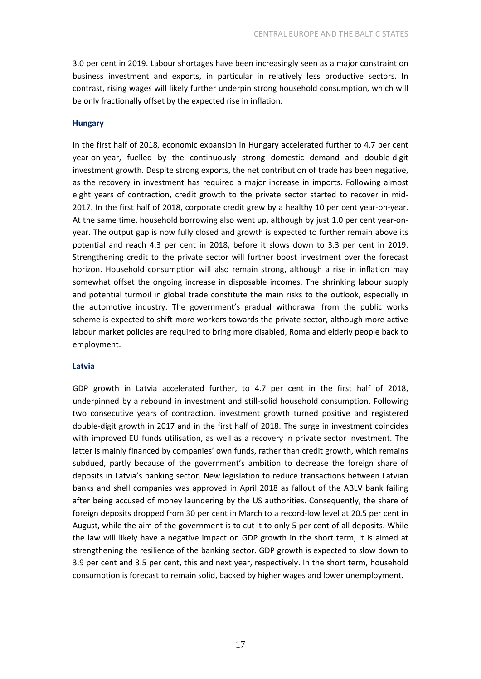3.0 per cent in 2019. Labour shortages have been increasingly seen as a major constraint on business investment and exports, in particular in relatively less productive sectors. In contrast, rising wages will likely further underpin strong household consumption, which will be only fractionally offset by the expected rise in inflation.

#### **Hungary**

In the first half of 2018, economic expansion in Hungary accelerated further to 4.7 per cent year-on-year, fuelled by the continuously strong domestic demand and double-digit investment growth. Despite strong exports, the net contribution of trade has been negative, as the recovery in investment has required a major increase in imports. Following almost eight years of contraction, credit growth to the private sector started to recover in mid-2017. In the first half of 2018, corporate credit grew by a healthy 10 per cent year-on-year. At the same time, household borrowing also went up, although by just 1.0 per cent year-onyear. The output gap is now fully closed and growth is expected to further remain above its potential and reach 4.3 per cent in 2018, before it slows down to 3.3 per cent in 2019. Strengthening credit to the private sector will further boost investment over the forecast horizon. Household consumption will also remain strong, although a rise in inflation may somewhat offset the ongoing increase in disposable incomes. The shrinking labour supply and potential turmoil in global trade constitute the main risks to the outlook, especially in the automotive industry. The government's gradual withdrawal from the public works scheme is expected to shift more workers towards the private sector, although more active labour market policies are required to bring more disabled, Roma and elderly people back to employment.

#### **Latvia**

GDP growth in Latvia accelerated further, to 4.7 per cent in the first half of 2018, underpinned by a rebound in investment and still-solid household consumption. Following two consecutive years of contraction, investment growth turned positive and registered double-digit growth in 2017 and in the first half of 2018. The surge in investment coincides with improved EU funds utilisation, as well as a recovery in private sector investment. The latter is mainly financed by companies' own funds, rather than credit growth, which remains subdued, partly because of the government's ambition to decrease the foreign share of deposits in Latvia's banking sector. New legislation to reduce transactions between Latvian banks and shell companies was approved in April 2018 as fallout of the ABLV bank failing after being accused of money laundering by the US authorities. Consequently, the share of foreign deposits dropped from 30 per cent in March to a record-low level at 20.5 per cent in August, while the aim of the government is to cut it to only 5 per cent of all deposits. While the law will likely have a negative impact on GDP growth in the short term, it is aimed at strengthening the resilience of the banking sector. GDP growth is expected to slow down to 3.9 per cent and 3.5 per cent, this and next year, respectively. In the short term, household consumption is forecast to remain solid, backed by higher wages and lower unemployment.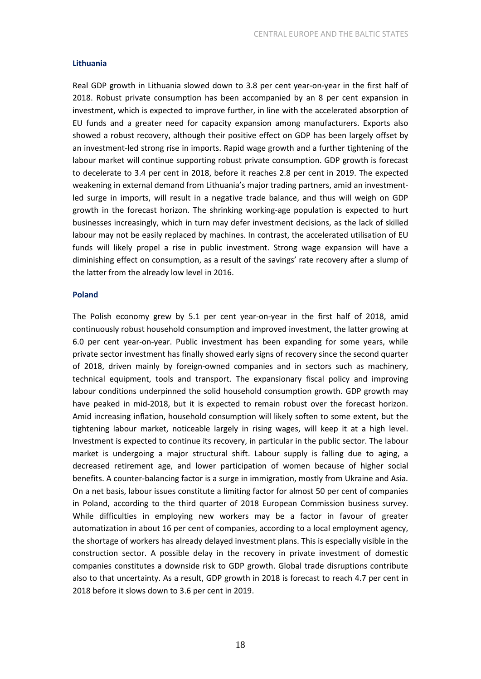#### **Lithuania**

Real GDP growth in Lithuania slowed down to 3.8 per cent year-on-year in the first half of 2018. Robust private consumption has been accompanied by an 8 per cent expansion in investment, which is expected to improve further, in line with the accelerated absorption of EU funds and a greater need for capacity expansion among manufacturers. Exports also showed a robust recovery, although their positive effect on GDP has been largely offset by an investment-led strong rise in imports. Rapid wage growth and a further tightening of the labour market will continue supporting robust private consumption. GDP growth is forecast to decelerate to 3.4 per cent in 2018, before it reaches 2.8 per cent in 2019. The expected weakening in external demand from Lithuania's major trading partners, amid an investmentled surge in imports, will result in a negative trade balance, and thus will weigh on GDP growth in the forecast horizon. The shrinking working-age population is expected to hurt businesses increasingly, which in turn may defer investment decisions, as the lack of skilled labour may not be easily replaced by machines. In contrast, the accelerated utilisation of EU funds will likely propel a rise in public investment. Strong wage expansion will have a diminishing effect on consumption, as a result of the savings' rate recovery after a slump of the latter from the already low level in 2016.

#### **Poland**

The Polish economy grew by 5.1 per cent year-on-year in the first half of 2018, amid continuously robust household consumption and improved investment, the latter growing at 6.0 per cent year-on-year. Public investment has been expanding for some years, while private sector investment has finally showed early signs of recovery since the second quarter of 2018, driven mainly by foreign-owned companies and in sectors such as machinery, technical equipment, tools and transport. The expansionary fiscal policy and improving labour conditions underpinned the solid household consumption growth. GDP growth may have peaked in mid-2018, but it is expected to remain robust over the forecast horizon. Amid increasing inflation, household consumption will likely soften to some extent, but the tightening labour market, noticeable largely in rising wages, will keep it at a high level. Investment is expected to continue its recovery, in particular in the public sector. The labour market is undergoing a major structural shift. Labour supply is falling due to aging, a decreased retirement age, and lower participation of women because of higher social benefits. A counter-balancing factor is a surge in immigration, mostly from Ukraine and Asia. On a net basis, labour issues constitute a limiting factor for almost 50 per cent of companies in Poland, according to the third quarter of 2018 European Commission business survey. While difficulties in employing new workers may be a factor in favour of greater automatization in about 16 per cent of companies, according to a local employment agency, the shortage of workers has already delayed investment plans. This is especially visible in the construction sector. A possible delay in the recovery in private investment of domestic companies constitutes a downside risk to GDP growth. Global trade disruptions contribute also to that uncertainty. As a result, GDP growth in 2018 is forecast to reach 4.7 per cent in 2018 before it slows down to 3.6 per cent in 2019.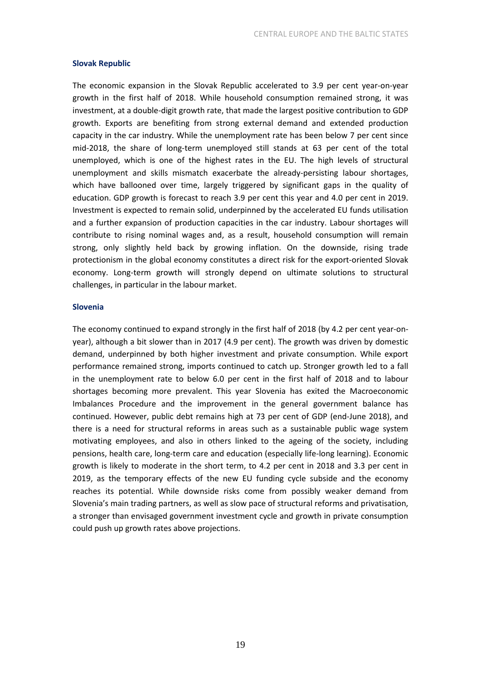#### **Slovak Republic**

The economic expansion in the Slovak Republic accelerated to 3.9 per cent year-on-year growth in the first half of 2018. While household consumption remained strong, it was investment, at a double-digit growth rate, that made the largest positive contribution to GDP growth. Exports are benefiting from strong external demand and extended production capacity in the car industry. While the unemployment rate has been below 7 per cent since mid-2018, the share of long-term unemployed still stands at 63 per cent of the total unemployed, which is one of the highest rates in the EU. The high levels of structural unemployment and skills mismatch exacerbate the already-persisting labour shortages, which have ballooned over time, largely triggered by significant gaps in the quality of education. GDP growth is forecast to reach 3.9 per cent this year and 4.0 per cent in 2019. Investment is expected to remain solid, underpinned by the accelerated EU funds utilisation and a further expansion of production capacities in the car industry. Labour shortages will contribute to rising nominal wages and, as a result, household consumption will remain strong, only slightly held back by growing inflation. On the downside, rising trade protectionism in the global economy constitutes a direct risk for the export-oriented Slovak economy. Long-term growth will strongly depend on ultimate solutions to structural challenges, in particular in the labour market.

#### **Slovenia**

The economy continued to expand strongly in the first half of 2018 (by 4.2 per cent year-onyear), although a bit slower than in 2017 (4.9 per cent). The growth was driven by domestic demand, underpinned by both higher investment and private consumption. While export performance remained strong, imports continued to catch up. Stronger growth led to a fall in the unemployment rate to below 6.0 per cent in the first half of 2018 and to labour shortages becoming more prevalent. This year Slovenia has exited the Macroeconomic Imbalances Procedure and the improvement in the general government balance has continued. However, public debt remains high at 73 per cent of GDP (end-June 2018), and there is a need for structural reforms in areas such as a sustainable public wage system motivating employees, and also in others linked to the ageing of the society, including pensions, health care, long-term care and education (especially life-long learning). Economic growth is likely to moderate in the short term, to 4.2 per cent in 2018 and 3.3 per cent in 2019, as the temporary effects of the new EU funding cycle subside and the economy reaches its potential. While downside risks come from possibly weaker demand from Slovenia's main trading partners, as well as slow pace of structural reforms and privatisation, a stronger than envisaged government investment cycle and growth in private consumption could push up growth rates above projections.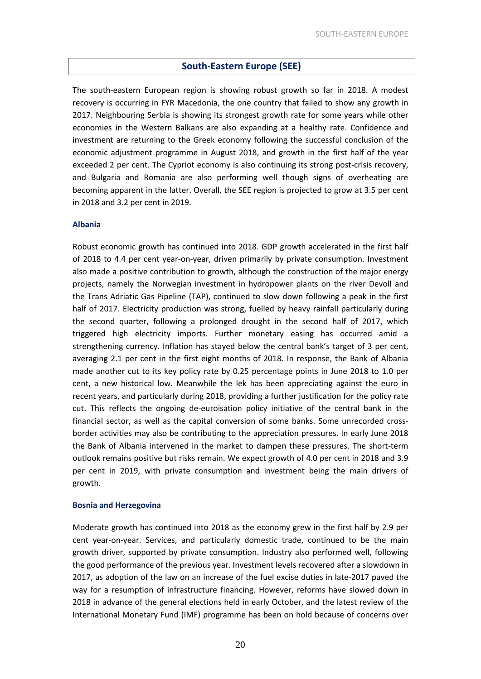#### **South-Eastern Europe (SEE)**

The south-eastern European region is showing robust growth so far in 2018. A modest recovery is occurring in FYR Macedonia, the one country that failed to show any growth in 2017. Neighbouring Serbia is showing its strongest growth rate for some years while other economies in the Western Balkans are also expanding at a healthy rate. Confidence and investment are returning to the Greek economy following the successful conclusion of the economic adjustment programme in August 2018, and growth in the first half of the year exceeded 2 per cent. The Cypriot economy is also continuing its strong post-crisis recovery, and Bulgaria and Romania are also performing well though signs of overheating are becoming apparent in the latter. Overall, the SEE region is projected to grow at 3.5 per cent in 2018 and 3.2 per cent in 2019.

#### **Albania**

Robust economic growth has continued into 2018. GDP growth accelerated in the first half of 2018 to 4.4 per cent year-on-year, driven primarily by private consumption. Investment also made a positive contribution to growth, although the construction of the major energy projects, namely the Norwegian investment in hydropower plants on the river Devoll and the Trans Adriatic Gas Pipeline (TAP), continued to slow down following a peak in the first half of 2017. Electricity production was strong, fuelled by heavy rainfall particularly during the second quarter, following a prolonged drought in the second half of 2017, which triggered high electricity imports. Further monetary easing has occurred amid a strengthening currency. Inflation has stayed below the central bank's target of 3 per cent, averaging 2.1 per cent in the first eight months of 2018. In response, the Bank of Albania made another cut to its key policy rate by 0.25 percentage points in June 2018 to 1.0 per cent, a new historical low. Meanwhile the lek has been appreciating against the euro in recent years, and particularly during 2018, providing a further justification for the policy rate cut. This reflects the ongoing de-euroisation policy initiative of the central bank in the financial sector, as well as the capital conversion of some banks. Some unrecorded crossborder activities may also be contributing to the appreciation pressures. In early June 2018 the Bank of Albania intervened in the market to dampen these pressures. The short-term outlook remains positive but risks remain. We expect growth of 4.0 per cent in 2018 and 3.9 per cent in 2019, with private consumption and investment being the main drivers of growth.

#### **Bosnia and Herzegovina**

Moderate growth has continued into 2018 as the economy grew in the first half by 2.9 per cent year-on-year. Services, and particularly domestic trade, continued to be the main growth driver, supported by private consumption. Industry also performed well, following the good performance of the previous year. Investment levels recovered after a slowdown in 2017, as adoption of the law on an increase of the fuel excise duties in late-2017 paved the way for a resumption of infrastructure financing. However, reforms have slowed down in 2018 in advance of the general elections held in early October, and the latest review of the International Monetary Fund (IMF) programme has been on hold because of concerns over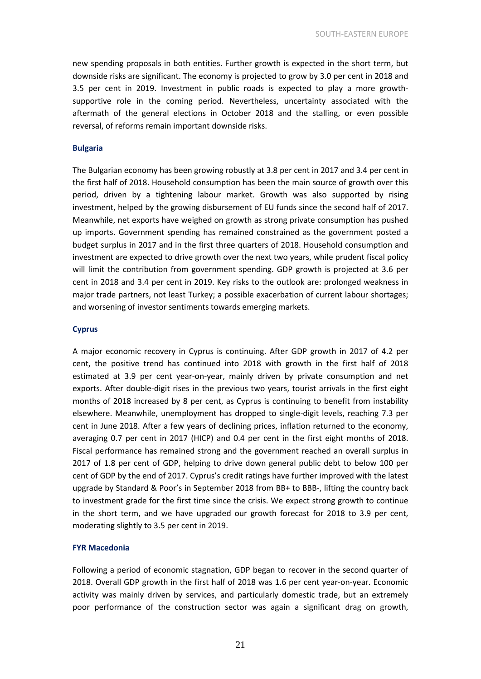new spending proposals in both entities. Further growth is expected in the short term, but downside risks are significant. The economy is projected to grow by 3.0 per cent in 2018 and 3.5 per cent in 2019. Investment in public roads is expected to play a more growthsupportive role in the coming period. Nevertheless, uncertainty associated with the aftermath of the general elections in October 2018 and the stalling, or even possible reversal, of reforms remain important downside risks.

#### **Bulgaria**

The Bulgarian economy has been growing robustly at 3.8 per cent in 2017 and 3.4 per cent in the first half of 2018. Household consumption has been the main source of growth over this period, driven by a tightening labour market. Growth was also supported by rising investment, helped by the growing disbursement of EU funds since the second half of 2017. Meanwhile, net exports have weighed on growth as strong private consumption has pushed up imports. Government spending has remained constrained as the government posted a budget surplus in 2017 and in the first three quarters of 2018. Household consumption and investment are expected to drive growth over the next two years, while prudent fiscal policy will limit the contribution from government spending. GDP growth is projected at 3.6 per cent in 2018 and 3.4 per cent in 2019. Key risks to the outlook are: prolonged weakness in major trade partners, not least Turkey; a possible exacerbation of current labour shortages; and worsening of investor sentiments towards emerging markets.

#### **Cyprus**

A major economic recovery in Cyprus is continuing. After GDP growth in 2017 of 4.2 per cent, the positive trend has continued into 2018 with growth in the first half of 2018 estimated at 3.9 per cent year-on-year, mainly driven by private consumption and net exports. After double-digit rises in the previous two years, tourist arrivals in the first eight months of 2018 increased by 8 per cent, as Cyprus is continuing to benefit from instability elsewhere. Meanwhile, unemployment has dropped to single-digit levels, reaching 7.3 per cent in June 2018. After a few years of declining prices, inflation returned to the economy, averaging 0.7 per cent in 2017 (HICP) and 0.4 per cent in the first eight months of 2018. Fiscal performance has remained strong and the government reached an overall surplus in 2017 of 1.8 per cent of GDP, helping to drive down general public debt to below 100 per cent of GDP by the end of 2017. Cyprus's credit ratings have further improved with the latest upgrade by Standard & Poor's in September 2018 from BB+ to BBB-, lifting the country back to investment grade for the first time since the crisis. We expect strong growth to continue in the short term, and we have upgraded our growth forecast for 2018 to 3.9 per cent, moderating slightly to 3.5 per cent in 2019.

#### **FYR Macedonia**

Following a period of economic stagnation, GDP began to recover in the second quarter of 2018. Overall GDP growth in the first half of 2018 was 1.6 per cent year-on-year. Economic activity was mainly driven by services, and particularly domestic trade, but an extremely poor performance of the construction sector was again a significant drag on growth,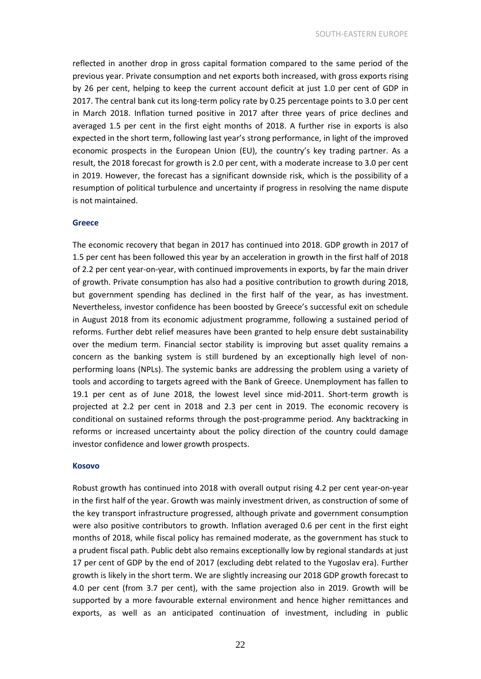reflected in another drop in gross capital formation compared to the same period of the previous year. Private consumption and net exports both increased, with gross exports rising by 26 per cent, helping to keep the current account deficit at just 1.0 per cent of GDP in 2017. The central bank cut its long-term policy rate by 0.25 percentage points to 3.0 per cent in March 2018. Inflation turned positive in 2017 after three years of price declines and averaged 1.5 per cent in the first eight months of 2018. A further rise in exports is also expected in the short term, following last year's strong performance, in light of the improved economic prospects in the European Union (EU), the country's key trading partner. As a result, the 2018 forecast for growth is 2.0 per cent, with a moderate increase to 3.0 per cent in 2019. However, the forecast has a significant downside risk, which is the possibility of a resumption of political turbulence and uncertainty if progress in resolving the name dispute is not maintained.

#### **Greece**

The economic recovery that began in 2017 has continued into 2018. GDP growth in 2017 of 1.5 per cent has been followed this year by an acceleration in growth in the first half of 2018 of 2.2 per cent year-on-year, with continued improvements in exports, by far the main driver of growth. Private consumption has also had a positive contribution to growth during 2018, but government spending has declined in the first half of the year, as has investment. Nevertheless, investor confidence has been boosted by Greece's successful exit on schedule in August 2018 from its economic adjustment programme, following a sustained period of reforms. Further debt relief measures have been granted to help ensure debt sustainability over the medium term. Financial sector stability is improving but asset quality remains a concern as the banking system is still burdened by an exceptionally high level of nonperforming loans (NPLs). The systemic banks are addressing the problem using a variety of tools and according to targets agreed with the Bank of Greece. Unemployment has fallen to 19.1 per cent as of June 2018, the lowest level since mid-2011. Short-term growth is projected at 2.2 per cent in 2018 and 2.3 per cent in 2019. The economic recovery is conditional on sustained reforms through the post-programme period. Any backtracking in reforms or increased uncertainty about the policy direction of the country could damage investor confidence and lower growth prospects.

#### **Kosovo**

Robust growth has continued into 2018 with overall output rising 4.2 per cent year-on-year in the first half of the year. Growth was mainly investment driven, as construction of some of the key transport infrastructure progressed, although private and government consumption were also positive contributors to growth. Inflation averaged 0.6 per cent in the first eight months of 2018, while fiscal policy has remained moderate, as the government has stuck to a prudent fiscal path. Public debt also remains exceptionally low by regional standards at just 17 per cent of GDP by the end of 2017 (excluding debt related to the Yugoslav era). Further growth is likely in the short term. We are slightly increasing our 2018 GDP growth forecast to 4.0 per cent (from 3.7 per cent), with the same projection also in 2019. Growth will be supported by a more favourable external environment and hence higher remittances and exports, as well as an anticipated continuation of investment, including in public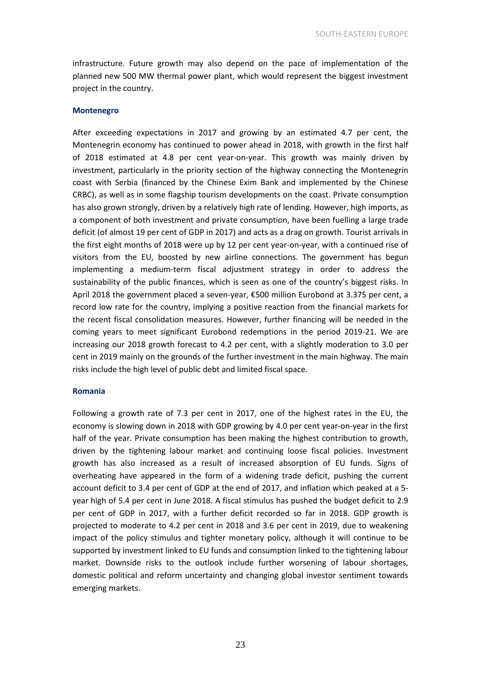infrastructure. Future growth may also depend on the pace of implementation of the planned new 500 MW thermal power plant, which would represent the biggest investment project in the country.

#### **Montenegro**

After exceeding expectations in 2017 and growing by an estimated 4.7 per cent, the Montenegrin economy has continued to power ahead in 2018, with growth in the first half of 2018 estimated at 4.8 per cent year-on-year. This growth was mainly driven by investment, particularly in the priority section of the highway connecting the Montenegrin coast with Serbia (financed by the Chinese Exim Bank and implemented by the Chinese CRBC), as well as in some flagship tourism developments on the coast. Private consumption has also grown strongly, driven by a relatively high rate of lending. However, high imports, as a component of both investment and private consumption, have been fuelling a large trade deficit (of almost 19 per cent of GDP in 2017) and acts as a drag on growth. Tourist arrivals in the first eight months of 2018 were up by 12 per cent year-on-year, with a continued rise of visitors from the EU, boosted by new airline connections. The government has begun implementing a medium-term fiscal adjustment strategy in order to address the sustainability of the public finances, which is seen as one of the country's biggest risks. In April 2018 the government placed a seven-year, €500 million Eurobond at 3.375 per cent, a record low rate for the country, implying a positive reaction from the financial markets for the recent fiscal consolidation measures. However, further financing will be needed in the coming years to meet significant Eurobond redemptions in the period 2019-21. We are increasing our 2018 growth forecast to 4.2 per cent, with a slightly moderation to 3.0 per cent in 2019 mainly on the grounds of the further investment in the main highway. The main risks include the high level of public debt and limited fiscal space.

#### **Romania**

Following a growth rate of 7.3 per cent in 2017, one of the highest rates in the EU, the economy is slowing down in 2018 with GDP growing by 4.0 per cent year-on-year in the first half of the year. Private consumption has been making the highest contribution to growth, driven by the tightening labour market and continuing loose fiscal policies. Investment growth has also increased as a result of increased absorption of EU funds. Signs of overheating have appeared in the form of a widening trade deficit, pushing the current account deficit to 3.4 per cent of GDP at the end of 2017, and inflation which peaked at a 5 year high of 5.4 per cent in June 2018. A fiscal stimulus has pushed the budget deficit to 2.9 per cent of GDP in 2017, with a further deficit recorded so far in 2018. GDP growth is projected to moderate to 4.2 per cent in 2018 and 3.6 per cent in 2019, due to weakening impact of the policy stimulus and tighter monetary policy, although it will continue to be supported by investment linked to EU funds and consumption linked to the tightening labour market. Downside risks to the outlook include further worsening of labour shortages, domestic political and reform uncertainty and changing global investor sentiment towards emerging markets.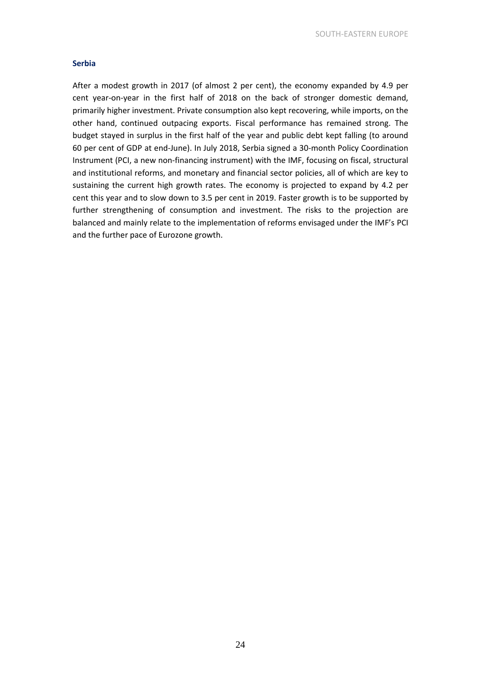#### **Serbia**

After a modest growth in 2017 (of almost 2 per cent), the economy expanded by 4.9 per cent year-on-year in the first half of 2018 on the back of stronger domestic demand, primarily higher investment. Private consumption also kept recovering, while imports, on the other hand, continued outpacing exports. Fiscal performance has remained strong. The budget stayed in surplus in the first half of the year and public debt kept falling (to around 60 per cent of GDP at end-June). In July 2018, Serbia signed a 30-month Policy Coordination Instrument (PCI, a new non-financing instrument) with the IMF, focusing on fiscal, structural and institutional reforms, and monetary and financial sector policies, all of which are key to sustaining the current high growth rates. The economy is projected to expand by 4.2 per cent this year and to slow down to 3.5 per cent in 2019. Faster growth is to be supported by further strengthening of consumption and investment. The risks to the projection are balanced and mainly relate to the implementation of reforms envisaged under the IMF's PCI and the further pace of Eurozone growth.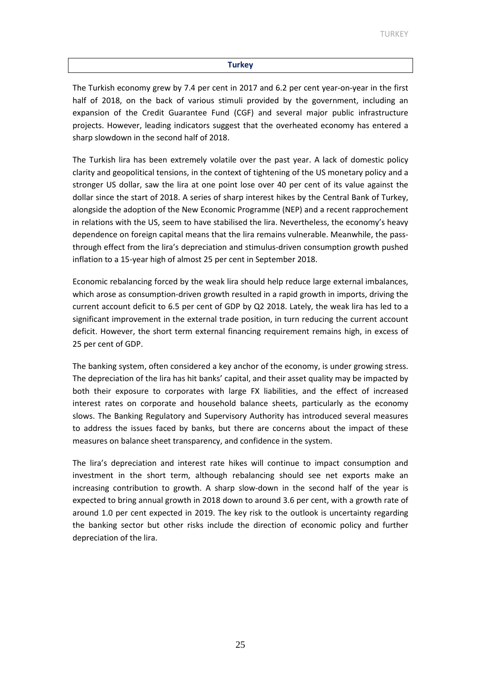#### **Turkey**

The Turkish economy grew by 7.4 per cent in 2017 and 6.2 per cent year-on-year in the first half of 2018, on the back of various stimuli provided by the government, including an expansion of the Credit Guarantee Fund (CGF) and several major public infrastructure projects. However, leading indicators suggest that the overheated economy has entered a sharp slowdown in the second half of 2018.

The Turkish lira has been extremely volatile over the past year. A lack of domestic policy clarity and geopolitical tensions, in the context of tightening of the US monetary policy and a stronger US dollar, saw the lira at one point lose over 40 per cent of its value against the dollar since the start of 2018. A series of sharp interest hikes by the Central Bank of Turkey, alongside the adoption of the New Economic Programme (NEP) and a recent rapprochement in relations with the US, seem to have stabilised the lira. Nevertheless, the economy's heavy dependence on foreign capital means that the lira remains vulnerable. Meanwhile, the passthrough effect from the lira's depreciation and stimulus-driven consumption growth pushed inflation to a 15-year high of almost 25 per cent in September 2018.

Economic rebalancing forced by the weak lira should help reduce large external imbalances, which arose as consumption-driven growth resulted in a rapid growth in imports, driving the current account deficit to 6.5 per cent of GDP by Q2 2018. Lately, the weak lira has led to a significant improvement in the external trade position, in turn reducing the current account deficit. However, the short term external financing requirement remains high, in excess of 25 per cent of GDP.

The banking system, often considered a key anchor of the economy, is under growing stress. The depreciation of the lira has hit banks' capital, and their asset quality may be impacted by both their exposure to corporates with large FX liabilities, and the effect of increased interest rates on corporate and household balance sheets, particularly as the economy slows. The Banking Regulatory and Supervisory Authority has introduced several measures to address the issues faced by banks, but there are concerns about the impact of these measures on balance sheet transparency, and confidence in the system.

The lira's depreciation and interest rate hikes will continue to impact consumption and investment in the short term, although rebalancing should see net exports make an increasing contribution to growth. A sharp slow-down in the second half of the year is expected to bring annual growth in 2018 down to around 3.6 per cent, with a growth rate of around 1.0 per cent expected in 2019. The key risk to the outlook is uncertainty regarding the banking sector but other risks include the direction of economic policy and further depreciation of the lira.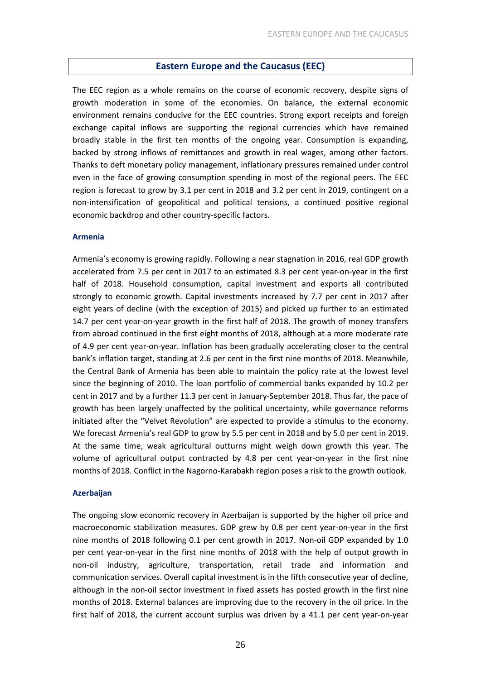#### **Eastern Europe and the Caucasus (EEC)**

The EEC region as a whole remains on the course of economic recovery, despite signs of growth moderation in some of the economies. On balance, the external economic environment remains conducive for the EEC countries. Strong export receipts and foreign exchange capital inflows are supporting the regional currencies which have remained broadly stable in the first ten months of the ongoing year. Consumption is expanding, backed by strong inflows of remittances and growth in real wages, among other factors. Thanks to deft monetary policy management, inflationary pressures remained under control even in the face of growing consumption spending in most of the regional peers. The EEC region is forecast to grow by 3.1 per cent in 2018 and 3.2 per cent in 2019, contingent on a non-intensification of geopolitical and political tensions, a continued positive regional economic backdrop and other country-specific factors.

#### **Armenia**

Armenia's economy is growing rapidly. Following a near stagnation in 2016, real GDP growth accelerated from 7.5 per cent in 2017 to an estimated 8.3 per cent year-on-year in the first half of 2018. Household consumption, capital investment and exports all contributed strongly to economic growth. Capital investments increased by 7.7 per cent in 2017 after eight years of decline (with the exception of 2015) and picked up further to an estimated 14.7 per cent year-on-year growth in the first half of 2018. The growth of money transfers from abroad continued in the first eight months of 2018, although at a more moderate rate of 4.9 per cent year-on-year. Inflation has been gradually accelerating closer to the central bank's inflation target, standing at 2.6 per cent in the first nine months of 2018. Meanwhile, the Central Bank of Armenia has been able to maintain the policy rate at the lowest level since the beginning of 2010. The loan portfolio of commercial banks expanded by 10.2 per cent in 2017 and by a further 11.3 per cent in January-September 2018. Thus far, the pace of growth has been largely unaffected by the political uncertainty, while governance reforms initiated after the "Velvet Revolution" are expected to provide a stimulus to the economy. We forecast Armenia's real GDP to grow by 5.5 per cent in 2018 and by 5.0 per cent in 2019. At the same time, weak agricultural outturns might weigh down growth this year. The volume of agricultural output contracted by 4.8 per cent year-on-year in the first nine months of 2018. Conflict in the Nagorno-Karabakh region poses a risk to the growth outlook.

#### **Azerbaijan**

The ongoing slow economic recovery in Azerbaijan is supported by the higher oil price and macroeconomic stabilization measures. GDP grew by 0.8 per cent year-on-year in the first nine months of 2018 following 0.1 per cent growth in 2017. Non-oil GDP expanded by 1.0 per cent year-on-year in the first nine months of 2018 with the help of output growth in non-oil industry, agriculture, transportation, retail trade and information and communication services. Overall capital investment is in the fifth consecutive year of decline, although in the non-oil sector investment in fixed assets has posted growth in the first nine months of 2018. External balances are improving due to the recovery in the oil price. In the first half of 2018, the current account surplus was driven by a 41.1 per cent year-on-year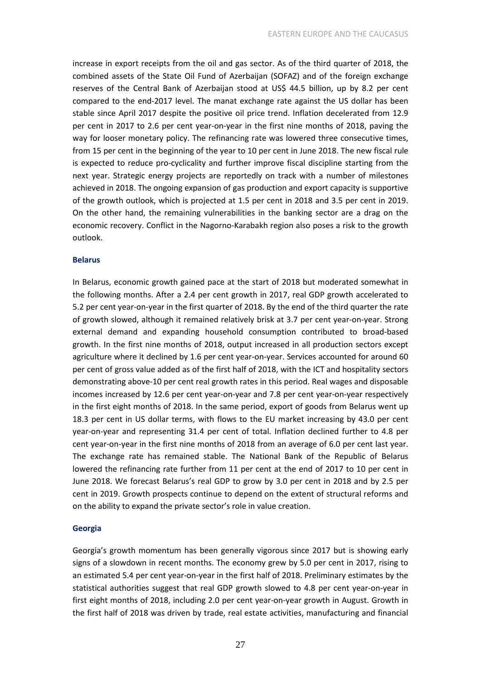increase in export receipts from the oil and gas sector. As of the third quarter of 2018, the combined assets of the State Oil Fund of Azerbaijan (SOFAZ) and of the foreign exchange reserves of the Central Bank of Azerbaijan stood at US\$ 44.5 billion, up by 8.2 per cent compared to the end-2017 level. The manat exchange rate against the US dollar has been stable since April 2017 despite the positive oil price trend. Inflation decelerated from 12.9 per cent in 2017 to 2.6 per cent year-on-year in the first nine months of 2018, paving the way for looser monetary policy. The refinancing rate was lowered three consecutive times, from 15 per cent in the beginning of the year to 10 per cent in June 2018. The new fiscal rule is expected to reduce pro-cyclicality and further improve fiscal discipline starting from the next year. Strategic energy projects are reportedly on track with a number of milestones achieved in 2018. The ongoing expansion of gas production and export capacity is supportive of the growth outlook, which is projected at 1.5 per cent in 2018 and 3.5 per cent in 2019. On the other hand, the remaining vulnerabilities in the banking sector are a drag on the economic recovery. Conflict in the Nagorno-Karabakh region also poses a risk to the growth outlook.

#### **Belarus**

In Belarus, economic growth gained pace at the start of 2018 but moderated somewhat in the following months. After a 2.4 per cent growth in 2017, real GDP growth accelerated to 5.2 per cent year-on-year in the first quarter of 2018. By the end of the third quarter the rate of growth slowed, although it remained relatively brisk at 3.7 per cent year-on-year. Strong external demand and expanding household consumption contributed to broad-based growth. In the first nine months of 2018, output increased in all production sectors except agriculture where it declined by 1.6 per cent year-on-year. Services accounted for around 60 per cent of gross value added as of the first half of 2018, with the ICT and hospitality sectors demonstrating above-10 per cent real growth rates in this period. Real wages and disposable incomes increased by 12.6 per cent year-on-year and 7.8 per cent year-on-year respectively in the first eight months of 2018. In the same period, export of goods from Belarus went up 18.3 per cent in US dollar terms, with flows to the EU market increasing by 43.0 per cent year-on-year and representing 31.4 per cent of total. Inflation declined further to 4.8 per cent year-on-year in the first nine months of 2018 from an average of 6.0 per cent last year. The exchange rate has remained stable. The National Bank of the Republic of Belarus lowered the refinancing rate further from 11 per cent at the end of 2017 to 10 per cent in June 2018. We forecast Belarus's real GDP to grow by 3.0 per cent in 2018 and by 2.5 per cent in 2019. Growth prospects continue to depend on the extent of structural reforms and on the ability to expand the private sector's role in value creation.

#### **Georgia**

Georgia's growth momentum has been generally vigorous since 2017 but is showing early signs of a slowdown in recent months. The economy grew by 5.0 per cent in 2017, rising to an estimated 5.4 per cent year-on-year in the first half of 2018. Preliminary estimates by the statistical authorities suggest that real GDP growth slowed to 4.8 per cent year-on-year in first eight months of 2018, including 2.0 per cent year-on-year growth in August. Growth in the first half of 2018 was driven by trade, real estate activities, manufacturing and financial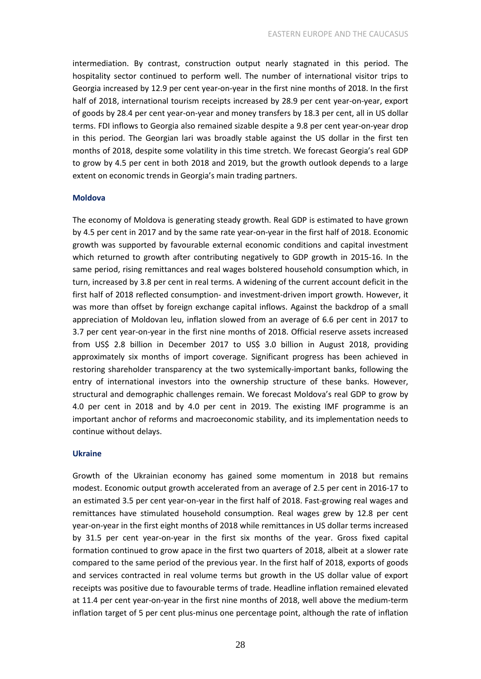intermediation. By contrast, construction output nearly stagnated in this period. The hospitality sector continued to perform well. The number of international visitor trips to Georgia increased by 12.9 per cent year-on-year in the first nine months of 2018. In the first half of 2018, international tourism receipts increased by 28.9 per cent year-on-year, export of goods by 28.4 per cent year-on-year and money transfers by 18.3 per cent, all in US dollar terms. FDI inflows to Georgia also remained sizable despite a 9.8 per cent year-on-year drop in this period. The Georgian lari was broadly stable against the US dollar in the first ten months of 2018, despite some volatility in this time stretch. We forecast Georgia's real GDP to grow by 4.5 per cent in both 2018 and 2019, but the growth outlook depends to a large extent on economic trends in Georgia's main trading partners.

#### **Moldova**

The economy of Moldova is generating steady growth. Real GDP is estimated to have grown by 4.5 per cent in 2017 and by the same rate year-on-year in the first half of 2018. Economic growth was supported by favourable external economic conditions and capital investment which returned to growth after contributing negatively to GDP growth in 2015-16. In the same period, rising remittances and real wages bolstered household consumption which, in turn, increased by 3.8 per cent in real terms. A widening of the current account deficit in the first half of 2018 reflected consumption- and investment-driven import growth. However, it was more than offset by foreign exchange capital inflows. Against the backdrop of a small appreciation of Moldovan leu, inflation slowed from an average of 6.6 per cent in 2017 to 3.7 per cent year-on-year in the first nine months of 2018. Official reserve assets increased from US\$ 2.8 billion in December 2017 to US\$ 3.0 billion in August 2018, providing approximately six months of import coverage. Significant progress has been achieved in restoring shareholder transparency at the two systemically-important banks, following the entry of international investors into the ownership structure of these banks. However, structural and demographic challenges remain. We forecast Moldova's real GDP to grow by 4.0 per cent in 2018 and by 4.0 per cent in 2019. The existing IMF programme is an important anchor of reforms and macroeconomic stability, and its implementation needs to continue without delays.

#### **Ukraine**

Growth of the Ukrainian economy has gained some momentum in 2018 but remains modest. Economic output growth accelerated from an average of 2.5 per cent in 2016-17 to an estimated 3.5 per cent year-on-year in the first half of 2018. Fast-growing real wages and remittances have stimulated household consumption. Real wages grew by 12.8 per cent year-on-year in the first eight months of 2018 while remittances in US dollar terms increased by 31.5 per cent year-on-year in the first six months of the year. Gross fixed capital formation continued to grow apace in the first two quarters of 2018, albeit at a slower rate compared to the same period of the previous year. In the first half of 2018, exports of goods and services contracted in real volume terms but growth in the US dollar value of export receipts was positive due to favourable terms of trade. Headline inflation remained elevated at 11.4 per cent year-on-year in the first nine months of 2018, well above the medium-term inflation target of 5 per cent plus-minus one percentage point, although the rate of inflation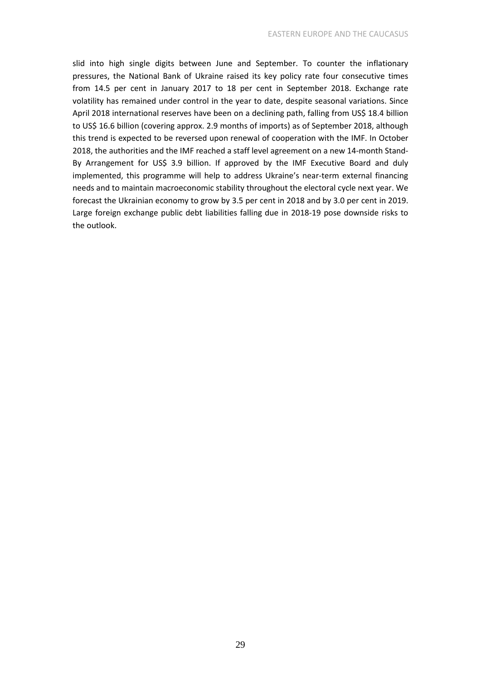slid into high single digits between June and September. To counter the inflationary pressures, the National Bank of Ukraine raised its key policy rate four consecutive times from 14.5 per cent in January 2017 to 18 per cent in September 2018. Exchange rate volatility has remained under control in the year to date, despite seasonal variations. Since April 2018 international reserves have been on a declining path, falling from US\$ 18.4 billion to US\$ 16.6 billion (covering approx. 2.9 months of imports) as of September 2018, although this trend is expected to be reversed upon renewal of cooperation with the IMF. In October 2018, the authorities and the IMF reached a staff level agreement on a new 14-month Stand-By Arrangement for US\$ 3.9 billion. If approved by the IMF Executive Board and duly implemented, this programme will help to address Ukraine's near-term external financing needs and to maintain macroeconomic stability throughout the electoral cycle next year. We forecast the Ukrainian economy to grow by 3.5 per cent in 2018 and by 3.0 per cent in 2019. Large foreign exchange public debt liabilities falling due in 2018-19 pose downside risks to the outlook.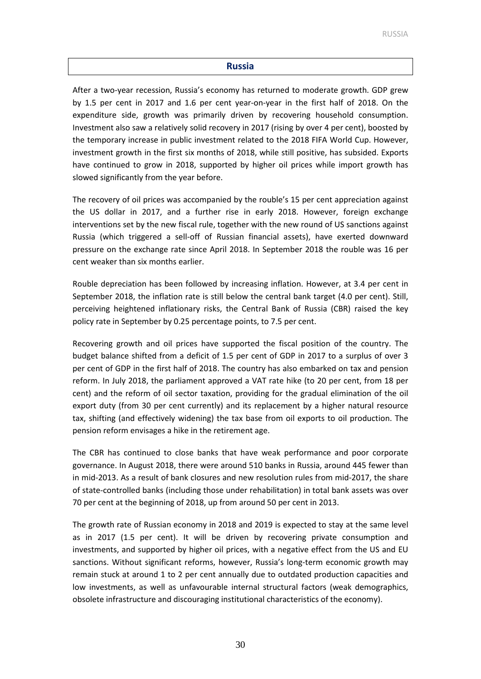#### **Russia**

After a two-year recession, Russia's economy has returned to moderate growth. GDP grew by 1.5 per cent in 2017 and 1.6 per cent year-on-year in the first half of 2018. On the expenditure side, growth was primarily driven by recovering household consumption. Investment also saw a relatively solid recovery in 2017 (rising by over 4 per cent), boosted by the temporary increase in public investment related to the 2018 FIFA World Cup. However, investment growth in the first six months of 2018, while still positive, has subsided. Exports have continued to grow in 2018, supported by higher oil prices while import growth has slowed significantly from the year before.

The recovery of oil prices was accompanied by the rouble's 15 per cent appreciation against the US dollar in 2017, and a further rise in early 2018. However, foreign exchange interventions set by the new fiscal rule, together with the new round of US sanctions against Russia (which triggered a sell-off of Russian financial assets), have exerted downward pressure on the exchange rate since April 2018. In September 2018 the rouble was 16 per cent weaker than six months earlier.

Rouble depreciation has been followed by increasing inflation. However, at 3.4 per cent in September 2018, the inflation rate is still below the central bank target (4.0 per cent). Still, perceiving heightened inflationary risks, the Central Bank of Russia (CBR) raised the key policy rate in September by 0.25 percentage points, to 7.5 per cent.

Recovering growth and oil prices have supported the fiscal position of the country. The budget balance shifted from a deficit of 1.5 per cent of GDP in 2017 to a surplus of over 3 per cent of GDP in the first half of 2018. The country has also embarked on tax and pension reform. In July 2018, the parliament approved a VAT rate hike (to 20 per cent, from 18 per cent) and the reform of oil sector taxation, providing for the gradual elimination of the oil export duty (from 30 per cent currently) and its replacement by a higher natural resource tax, shifting (and effectively widening) the tax base from oil exports to oil production. The pension reform envisages a hike in the retirement age.

The CBR has continued to close banks that have weak performance and poor corporate governance. In August 2018, there were around 510 banks in Russia, around 445 fewer than in mid-2013. As a result of bank closures and new resolution rules from mid-2017, the share of state-controlled banks (including those under rehabilitation) in total bank assets was over 70 per cent at the beginning of 2018, up from around 50 per cent in 2013.

The growth rate of Russian economy in 2018 and 2019 is expected to stay at the same level as in 2017 (1.5 per cent). It will be driven by recovering private consumption and investments, and supported by higher oil prices, with a negative effect from the US and EU sanctions. Without significant reforms, however, Russia's long-term economic growth may remain stuck at around 1 to 2 per cent annually due to outdated production capacities and low investments, as well as unfavourable internal structural factors (weak demographics, obsolete infrastructure and discouraging institutional characteristics of the economy).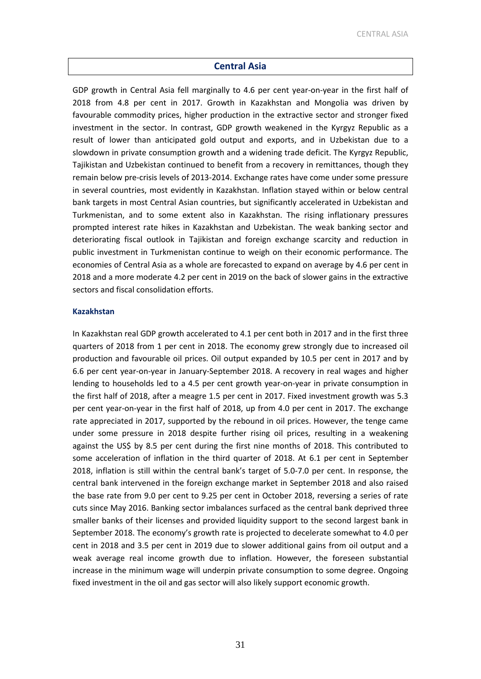#### **Central Asia**

GDP growth in Central Asia fell marginally to 4.6 per cent year-on-year in the first half of 2018 from 4.8 per cent in 2017. Growth in Kazakhstan and Mongolia was driven by favourable commodity prices, higher production in the extractive sector and stronger fixed investment in the sector. In contrast, GDP growth weakened in the Kyrgyz Republic as a result of lower than anticipated gold output and exports, and in Uzbekistan due to a slowdown in private consumption growth and a widening trade deficit. The Kyrgyz Republic, Tajikistan and Uzbekistan continued to benefit from a recovery in remittances, though they remain below pre-crisis levels of 2013-2014. Exchange rates have come under some pressure in several countries, most evidently in Kazakhstan. Inflation stayed within or below central bank targets in most Central Asian countries, but significantly accelerated in Uzbekistan and Turkmenistan, and to some extent also in Kazakhstan. The rising inflationary pressures prompted interest rate hikes in Kazakhstan and Uzbekistan. The weak banking sector and deteriorating fiscal outlook in Tajikistan and foreign exchange scarcity and reduction in public investment in Turkmenistan continue to weigh on their economic performance. The economies of Central Asia as a whole are forecasted to expand on average by 4.6 per cent in 2018 and a more moderate 4.2 per cent in 2019 on the back of slower gains in the extractive sectors and fiscal consolidation efforts.

#### **Kazakhstan**

In Kazakhstan real GDP growth accelerated to 4.1 per cent both in 2017 and in the first three quarters of 2018 from 1 per cent in 2018. The economy grew strongly due to increased oil production and favourable oil prices. Oil output expanded by 10.5 per cent in 2017 and by 6.6 per cent year-on-year in January-September 2018. A recovery in real wages and higher lending to households led to a 4.5 per cent growth year-on-year in private consumption in the first half of 2018, after a meagre 1.5 per cent in 2017. Fixed investment growth was 5.3 per cent year-on-year in the first half of 2018, up from 4.0 per cent in 2017. The exchange rate appreciated in 2017, supported by the rebound in oil prices. However, the tenge came under some pressure in 2018 despite further rising oil prices, resulting in a weakening against the US\$ by 8.5 per cent during the first nine months of 2018. This contributed to some acceleration of inflation in the third quarter of 2018. At 6.1 per cent in September 2018, inflation is still within the central bank's target of 5.0-7.0 per cent. In response, the central bank intervened in the foreign exchange market in September 2018 and also raised the base rate from 9.0 per cent to 9.25 per cent in October 2018, reversing a series of rate cuts since May 2016. Banking sector imbalances surfaced as the central bank deprived three smaller banks of their licenses and provided liquidity support to the second largest bank in September 2018. The economy's growth rate is projected to decelerate somewhat to 4.0 per cent in 2018 and 3.5 per cent in 2019 due to slower additional gains from oil output and a weak average real income growth due to inflation. However, the foreseen substantial increase in the minimum wage will underpin private consumption to some degree. Ongoing fixed investment in the oil and gas sector will also likely support economic growth.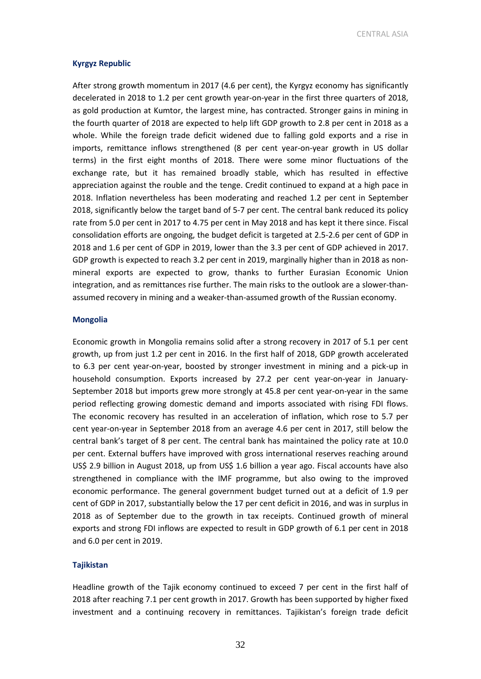CENTRAL ASIA

#### **Kyrgyz Republic**

After strong growth momentum in 2017 (4.6 per cent), the Kyrgyz economy has significantly decelerated in 2018 to 1.2 per cent growth year-on-year in the first three quarters of 2018, as gold production at Kumtor, the largest mine, has contracted. Stronger gains in mining in the fourth quarter of 2018 are expected to help lift GDP growth to 2.8 per cent in 2018 as a whole. While the foreign trade deficit widened due to falling gold exports and a rise in imports, remittance inflows strengthened (8 per cent year-on-year growth in US dollar terms) in the first eight months of 2018. There were some minor fluctuations of the exchange rate, but it has remained broadly stable, which has resulted in effective appreciation against the rouble and the tenge. Credit continued to expand at a high pace in 2018. Inflation nevertheless has been moderating and reached 1.2 per cent in September 2018, significantly below the target band of 5-7 per cent. The central bank reduced its policy rate from 5.0 per cent in 2017 to 4.75 per cent in May 2018 and has kept it there since. Fiscal consolidation efforts are ongoing, the budget deficit is targeted at 2.5-2.6 per cent of GDP in 2018 and 1.6 per cent of GDP in 2019, lower than the 3.3 per cent of GDP achieved in 2017. GDP growth is expected to reach 3.2 per cent in 2019, marginally higher than in 2018 as nonmineral exports are expected to grow, thanks to further Eurasian Economic Union integration, and as remittances rise further. The main risks to the outlook are a slower-thanassumed recovery in mining and a weaker-than-assumed growth of the Russian economy.

#### **Mongolia**

Economic growth in Mongolia remains solid after a strong recovery in 2017 of 5.1 per cent growth, up from just 1.2 per cent in 2016. In the first half of 2018, GDP growth accelerated to 6.3 per cent year-on-year, boosted by stronger investment in mining and a pick-up in household consumption. Exports increased by 27.2 per cent year-on-year in January-September 2018 but imports grew more strongly at 45.8 per cent year-on-year in the same period reflecting growing domestic demand and imports associated with rising FDI flows. The economic recovery has resulted in an acceleration of inflation, which rose to 5.7 per cent year-on-year in September 2018 from an average 4.6 per cent in 2017, still below the central bank's target of 8 per cent. The central bank has maintained the policy rate at 10.0 per cent. External buffers have improved with gross international reserves reaching around US\$ 2.9 billion in August 2018, up from US\$ 1.6 billion a year ago. Fiscal accounts have also strengthened in compliance with the IMF programme, but also owing to the improved economic performance. The general government budget turned out at a deficit of 1.9 per cent of GDP in 2017, substantially below the 17 per cent deficit in 2016, and was in surplus in 2018 as of September due to the growth in tax receipts. Continued growth of mineral exports and strong FDI inflows are expected to result in GDP growth of 6.1 per cent in 2018 and 6.0 per cent in 2019.

#### **Tajikistan**

Headline growth of the Tajik economy continued to exceed 7 per cent in the first half of 2018 after reaching 7.1 per cent growth in 2017. Growth has been supported by higher fixed investment and a continuing recovery in remittances. Tajikistan's foreign trade deficit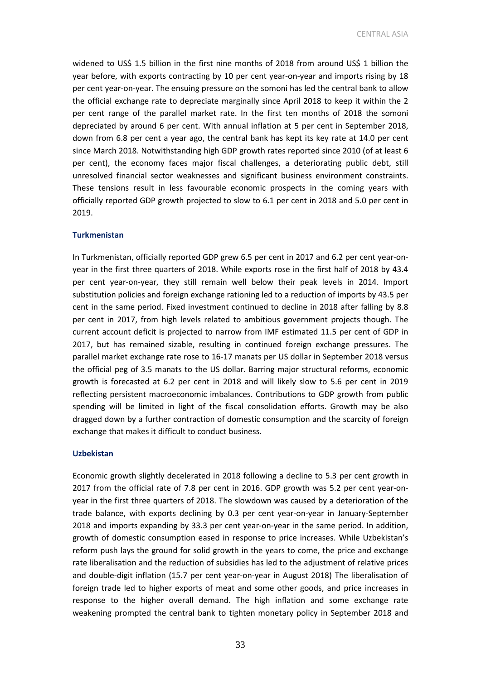CENTRAL ASIA

widened to US\$ 1.5 billion in the first nine months of 2018 from around US\$ 1 billion the year before, with exports contracting by 10 per cent year-on-year and imports rising by 18 per cent year-on-year. The ensuing pressure on the somoni has led the central bank to allow the official exchange rate to depreciate marginally since April 2018 to keep it within the 2 per cent range of the parallel market rate. In the first ten months of 2018 the somoni depreciated by around 6 per cent. With annual inflation at 5 per cent in September 2018, down from 6.8 per cent a year ago, the central bank has kept its key rate at 14.0 per cent since March 2018. Notwithstanding high GDP growth rates reported since 2010 (of at least 6 per cent), the economy faces major fiscal challenges, a deteriorating public debt, still unresolved financial sector weaknesses and significant business environment constraints. These tensions result in less favourable economic prospects in the coming years with officially reported GDP growth projected to slow to 6.1 per cent in 2018 and 5.0 per cent in 2019.

#### **Turkmenistan**

In Turkmenistan, officially reported GDP grew 6.5 per cent in 2017 and 6.2 per cent year-onyear in the first three quarters of 2018. While exports rose in the first half of 2018 by 43.4 per cent year-on-year, they still remain well below their peak levels in 2014. Import substitution policies and foreign exchange rationing led to a reduction of imports by 43.5 per cent in the same period. Fixed investment continued to decline in 2018 after falling by 8.8 per cent in 2017, from high levels related to ambitious government projects though. The current account deficit is projected to narrow from IMF estimated 11.5 per cent of GDP in 2017, but has remained sizable, resulting in continued foreign exchange pressures. The parallel market exchange rate rose to 16-17 manats per US dollar in September 2018 versus the official peg of 3.5 manats to the US dollar. Barring major structural reforms, economic growth is forecasted at 6.2 per cent in 2018 and will likely slow to 5.6 per cent in 2019 reflecting persistent macroeconomic imbalances. Contributions to GDP growth from public spending will be limited in light of the fiscal consolidation efforts. Growth may be also dragged down by a further contraction of domestic consumption and the scarcity of foreign exchange that makes it difficult to conduct business.

#### **Uzbekistan**

Economic growth slightly decelerated in 2018 following a decline to 5.3 per cent growth in 2017 from the official rate of 7.8 per cent in 2016. GDP growth was 5.2 per cent year-onyear in the first three quarters of 2018. The slowdown was caused by a deterioration of the trade balance, with exports declining by 0.3 per cent year-on-year in January-September 2018 and imports expanding by 33.3 per cent year-on-year in the same period. In addition, growth of domestic consumption eased in response to price increases. While Uzbekistan's reform push lays the ground for solid growth in the years to come, the price and exchange rate liberalisation and the reduction of subsidies has led to the adjustment of relative prices and double-digit inflation (15.7 per cent year-on-year in August 2018) The liberalisation of foreign trade led to higher exports of meat and some other goods, and price increases in response to the higher overall demand. The high inflation and some exchange rate weakening prompted the central bank to tighten monetary policy in September 2018 and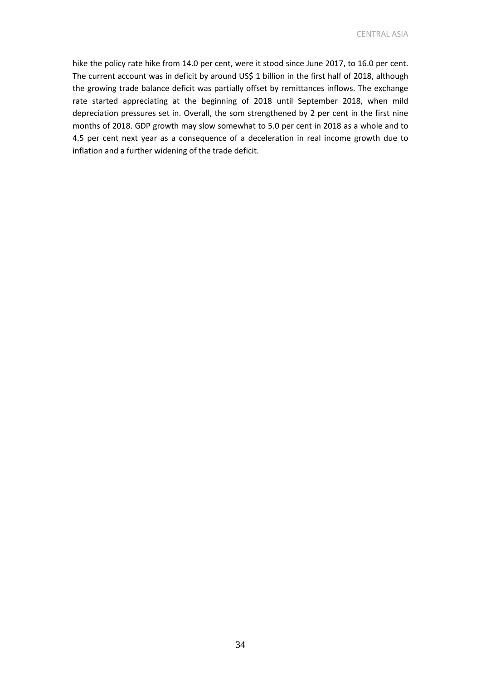CENTRAL ASIA

hike the policy rate hike from 14.0 per cent, were it stood since June 2017, to 16.0 per cent. The current account was in deficit by around US\$ 1 billion in the first half of 2018, although the growing trade balance deficit was partially offset by remittances inflows. The exchange rate started appreciating at the beginning of 2018 until September 2018, when mild depreciation pressures set in. Overall, the som strengthened by 2 per cent in the first nine months of 2018. GDP growth may slow somewhat to 5.0 per cent in 2018 as a whole and to 4.5 per cent next year as a consequence of a deceleration in real income growth due to inflation and a further widening of the trade deficit.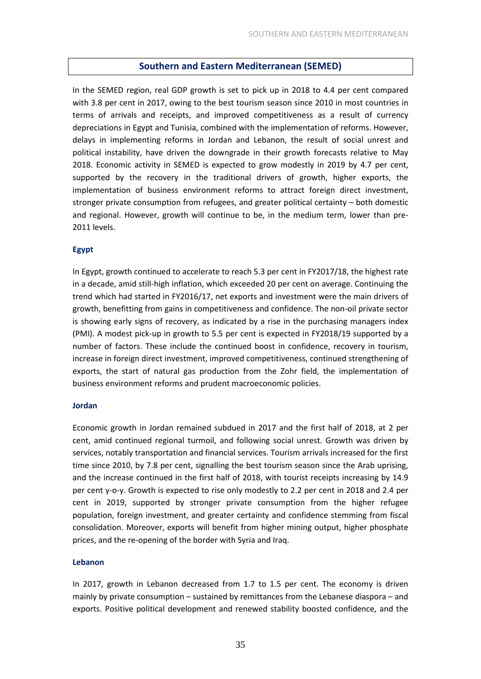#### **Southern and Eastern Mediterranean (SEMED)**

In the SEMED region, real GDP growth is set to pick up in 2018 to 4.4 per cent compared with 3.8 per cent in 2017, owing to the best tourism season since 2010 in most countries in terms of arrivals and receipts, and improved competitiveness as a result of currency depreciations in Egypt and Tunisia, combined with the implementation of reforms. However, delays in implementing reforms in Jordan and Lebanon, the result of social unrest and political instability, have driven the downgrade in their growth forecasts relative to May 2018. Economic activity in SEMED is expected to grow modestly in 2019 by 4.7 per cent, supported by the recovery in the traditional drivers of growth, higher exports, the implementation of business environment reforms to attract foreign direct investment, stronger private consumption from refugees, and greater political certainty – both domestic and regional. However, growth will continue to be, in the medium term, lower than pre-2011 levels.

#### **Egypt**

In Egypt, growth continued to accelerate to reach 5.3 per cent in FY2017/18, the highest rate in a decade, amid still-high inflation, which exceeded 20 per cent on average. Continuing the trend which had started in FY2016/17, net exports and investment were the main drivers of growth, benefitting from gains in competitiveness and confidence. The non-oil private sector is showing early signs of recovery, as indicated by a rise in the purchasing managers index (PMI). A modest pick-up in growth to 5.5 per cent is expected in FY2018/19 supported by a number of factors. These include the continued boost in confidence, recovery in tourism, increase in foreign direct investment, improved competitiveness, continued strengthening of exports, the start of natural gas production from the Zohr field, the implementation of business environment reforms and prudent macroeconomic policies.

#### **Jordan**

Economic growth in Jordan remained subdued in 2017 and the first half of 2018, at 2 per cent, amid continued regional turmoil, and following social unrest. Growth was driven by services, notably transportation and financial services. Tourism arrivals increased for the first time since 2010, by 7.8 per cent, signalling the best tourism season since the Arab uprising, and the increase continued in the first half of 2018, with tourist receipts increasing by 14.9 per cent y-o-y. Growth is expected to rise only modestly to 2.2 per cent in 2018 and 2.4 per cent in 2019, supported by stronger private consumption from the higher refugee population, foreign investment, and greater certainty and confidence stemming from fiscal consolidation. Moreover, exports will benefit from higher mining output, higher phosphate prices, and the re-opening of the border with Syria and Iraq.

#### **Lebanon**

In 2017, growth in Lebanon decreased from 1.7 to 1.5 per cent. The economy is driven mainly by private consumption – sustained by remittances from the Lebanese diaspora – and exports. Positive political development and renewed stability boosted confidence, and the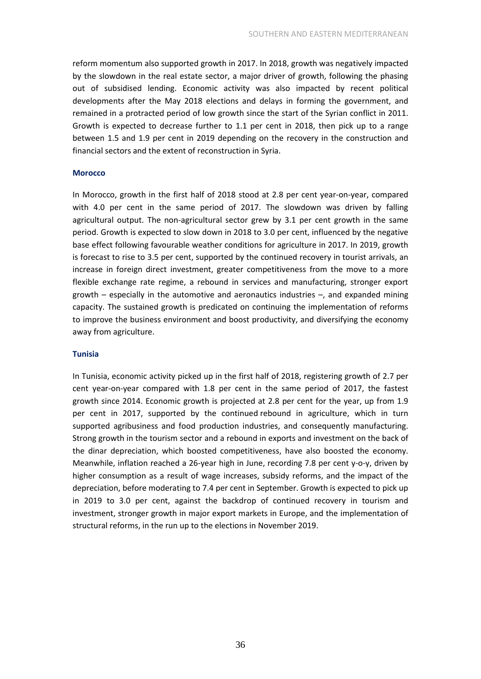reform momentum also supported growth in 2017. In 2018, growth was negatively impacted by the slowdown in the real estate sector, a major driver of growth, following the phasing out of subsidised lending. Economic activity was also impacted by recent political developments after the May 2018 elections and delays in forming the government, and remained in a protracted period of low growth since the start of the Syrian conflict in 2011. Growth is expected to decrease further to 1.1 per cent in 2018, then pick up to a range between 1.5 and 1.9 per cent in 2019 depending on the recovery in the construction and financial sectors and the extent of reconstruction in Syria.

#### **Morocco**

In Morocco, growth in the first half of 2018 stood at 2.8 per cent year-on-year, compared with 4.0 per cent in the same period of 2017. The slowdown was driven by falling agricultural output. The non-agricultural sector grew by 3.1 per cent growth in the same period. Growth is expected to slow down in 2018 to 3.0 per cent, influenced by the negative base effect following favourable weather conditions for agriculture in 2017. In 2019, growth is forecast to rise to 3.5 per cent, supported by the continued recovery in tourist arrivals, an increase in foreign direct investment, greater competitiveness from the move to a more flexible exchange rate regime, a rebound in services and manufacturing, stronger export growth  $-$  especially in the automotive and aeronautics industries  $-$ , and expanded mining capacity. The sustained growth is predicated on continuing the implementation of reforms to improve the business environment and boost productivity, and diversifying the economy away from agriculture.

#### **Tunisia**

In Tunisia, economic activity picked up in the first half of 2018, registering growth of 2.7 per cent year-on-year compared with 1.8 per cent in the same period of 2017, the fastest growth since 2014. Economic growth is projected at 2.8 per cent for the year, up from 1.9 per cent in 2017, supported by the continued rebound in agriculture, which in turn supported agribusiness and food production industries, and consequently manufacturing. Strong growth in the tourism sector and a rebound in exports and investment on the back of the dinar depreciation, which boosted competitiveness, have also boosted the economy. Meanwhile, inflation reached a 26-year high in June, recording 7.8 per cent y-o-y, driven by higher consumption as a result of wage increases, subsidy reforms, and the impact of the depreciation, before moderating to 7.4 per cent in September. Growth is expected to pick up in 2019 to 3.0 per cent, against the backdrop of continued recovery in tourism and investment, stronger growth in major export markets in Europe, and the implementation of structural reforms, in the run up to the elections in November 2019.